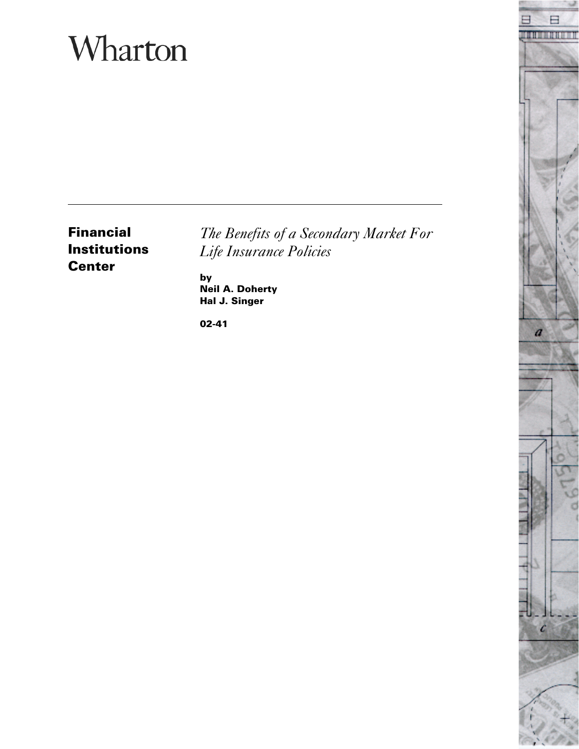# Wharton

**Financial Institutions Center**

*The Benefits of a Secondary Market For Life Insurance Policies*

**by Neil A. Doherty Hal J. Singer**

**02-41**

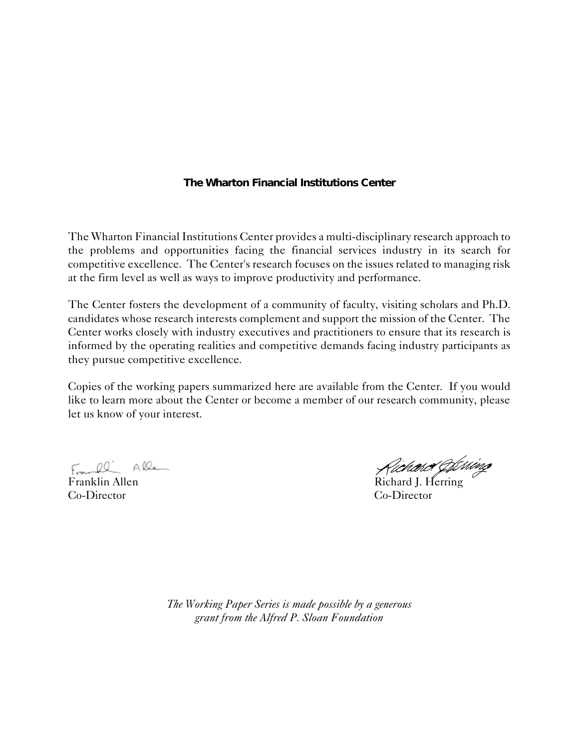### **The Wharton Financial Institutions Center**

The Wharton Financial Institutions Center provides a multi-disciplinary research approach to the problems and opportunities facing the financial services industry in its search for competitive excellence. The Center's research focuses on the issues related to managing risk at the firm level as well as ways to improve productivity and performance.

The Center fosters the development of a community of faculty, visiting scholars and Ph.D. candidates whose research interests complement and support the mission of the Center. The Center works closely with industry executives and practitioners to ensure that its research is informed by the operating realities and competitive demands facing industry participants as they pursue competitive excellence.

Copies of the working papers summarized here are available from the Center. If you would like to learn more about the Center or become a member of our research community, please let us know of your interest.

Frankl Alle

Co-Director Co-Director

Franklin Allen Richard J. Herring

*The Working Paper Series is made possible by a generous grant from the Alfred P. Sloan Foundation*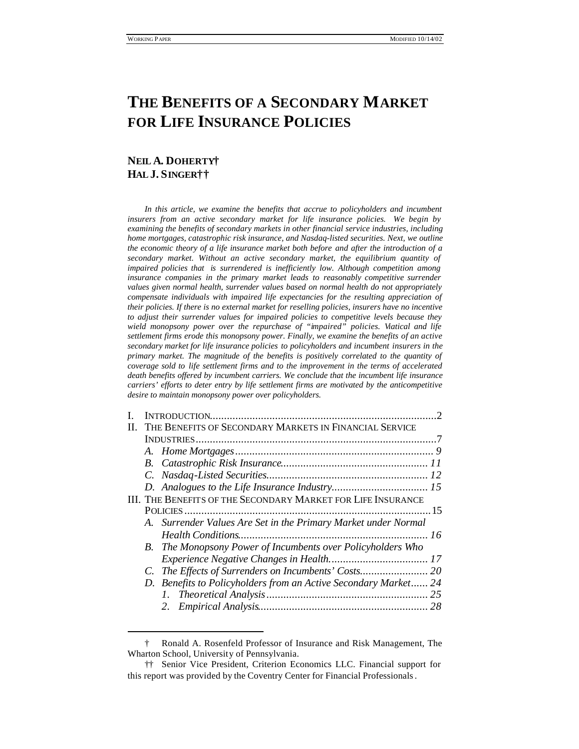# **THE BENEFITS OF A SECONDARY MARKET FOR LIFE INSURANCE POLICIES**

# **NEIL A. DOHERTY† HAL J. SINGER††**

 $\overline{\phantom{a}}$ 

In this article, we examine the benefits that accrue to policyholders and incumbent insurers from an active secondary market for life insurance policies. We begin by *examining the benefits of secondary markets in other financial service industries, including home mortgages, catastrophic risk insurance, and Nasdaq-listed securities. Next, we outline the economic theory of a life insurance market both before and after the introduction of a secondary market. Without an active secondary market, the equilibrium quantity of impaired policies that is surrendered is inefficiently low. Although competition among insurance companies in the primary market leads to reasonably competitive surrender values given normal health, surrender values based on normal health do not appropriately compensate individuals with impaired life expectancies for the resulting appreciation of their policies. If there is no external market for reselling policies, insurers have no incentive to adjust their surrender values for impaired policies to competitive levels because they wield monopsony power over the repurchase of "impaired" policies. Viatical and life settlement firms erode this monopsony power. Finally, we examine the benefits of an active secondary market for life insurance policies to policyholders and incumbent insurers in the primary market. The magnitude of the benefits is positively correlated to the quantity of coverage sold to life settlement firms and to the improvement in the terms of accelerated death benefits offered by incumbent carriers. We conclude that the incumbent life insurance carriers' efforts to deter entry by life settlement firms are motivated by the anticompetitive desire to maintain monopsony power over policyholders.*

| H. | THE BENEFITS OF SECONDARY MARKETS IN FINANCIAL SERVICE          |  |
|----|-----------------------------------------------------------------|--|
|    |                                                                 |  |
|    |                                                                 |  |
|    |                                                                 |  |
|    |                                                                 |  |
|    |                                                                 |  |
|    | III. THE BENEFITS OF THE SECONDARY MARKET FOR LIFE INSURANCE    |  |
|    |                                                                 |  |
|    | A. Surrender Values Are Set in the Primary Market under Normal  |  |
|    |                                                                 |  |
|    | B. The Monopsony Power of Incumbents over Policyholders Who     |  |
|    |                                                                 |  |
|    |                                                                 |  |
|    | D. Benefits to Policyholders from an Active Secondary Market 24 |  |
|    |                                                                 |  |
|    |                                                                 |  |
|    |                                                                 |  |

<sup>†</sup> Ronald A. Rosenfeld Professor of Insurance and Risk Management, The Wharton School, University of Pennsylvania.

<sup>††</sup> Senior Vice President, Criterion Economics LLC. Financial support for this report was provided by the Coventry Center for Financial Professionals.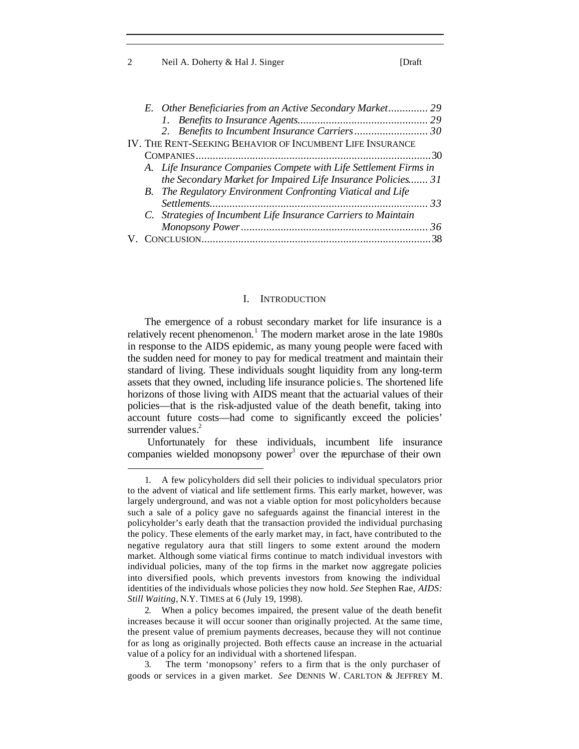2 Neil A. Doherty & Hal J. Singer [Draft]

|  | E. Other Beneficiaries from an Active Secondary Market 29         |    |
|--|-------------------------------------------------------------------|----|
|  |                                                                   |    |
|  |                                                                   |    |
|  | IV. THE RENT-SEEKING BEHAVIOR OF INCUMBENT LIFE INSURANCE         |    |
|  |                                                                   | 30 |
|  | A. Life Insurance Companies Compete with Life Settlement Firms in |    |
|  | the Secondary Market for Impaired Life Insurance Policies 31      |    |
|  | B. The Regulatory Environment Confronting Viatical and Life       |    |
|  |                                                                   |    |
|  | C. Strategies of Incumbent Life Insurance Carriers to Maintain    |    |
|  |                                                                   | 36 |
|  |                                                                   |    |

#### I. INTRODUCTION

The emergence of a robust secondary market for life insurance is a relatively recent phenomenon.<sup>1</sup> The modern market arose in the late 1980s in response to the AIDS epidemic, as many young people were faced with the sudden need for money to pay for medical treatment and maintain their standard of living. These individuals sought liquidity from any long-term assets that they owned, including life insurance policie s. The shortened life horizons of those living with AIDS meant that the actuarial values of their policies—that is the risk-adjusted value of the death benefit, taking into account future costs—had come to significantly exceed the policies' surrender values.<sup>2</sup>

 Unfortunately for these individuals, incumbent life insurance companies wielded monopsony power<sup>3</sup> over the repurchase of their own

<sup>1.</sup> A few policyholders did sell their policies to individual speculators prior to the advent of viatical and life settlement firms. This early market, however, was largely underground, and was not a viable option for most policyholders because such a sale of a policy gave no safeguards against the financial interest in the policyholder's early death that the transaction provided the individual purchasing the policy. These elements of the early market may, in fact, have contributed to the negative regulatory aura that still lingers to some extent around the modern market. Although some viatical firms continue to match individual investors with individual policies, many of the top firms in the market now aggregate policies into diversified pools, which prevents investors from knowing the individual identities of the individuals whose policies they now hold. *See* Stephen Rae, *AIDS: Still Waiting*, N.Y. TIMES at 6 (July 19, 1998).

<sup>2.</sup> When a policy becomes impaired, the present value of the death benefit increases because it will occur sooner than originally projected. At the same time, the present value of premium payments decreases, because they will not continue for as long as originally projected. Both effects cause an increase in the actuarial value of a policy for an individual with a shortened lifespan.

<sup>3.</sup> The term 'monopsony' refers to a firm that is the only purchaser of goods or services in a given market. *See* DENNIS W. CARLTON & JEFFREY M.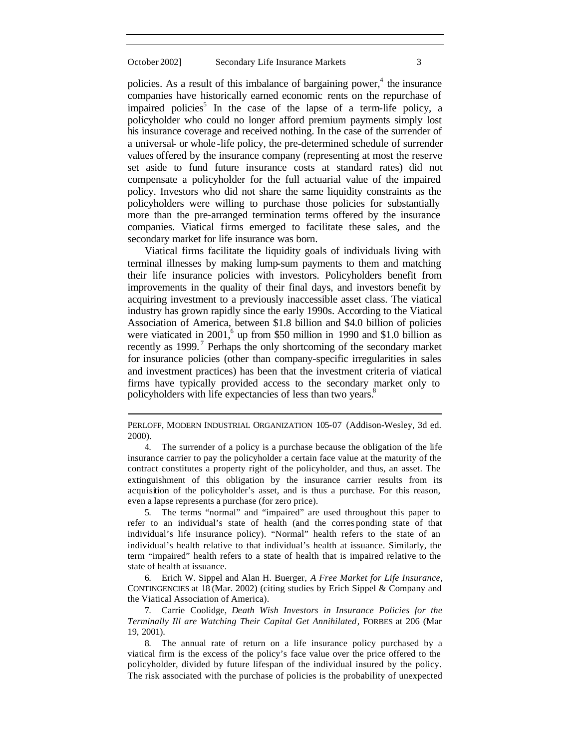policies. As a result of this imbalance of bargaining power, $4$  the insurance companies have historically earned economic rents on the repurchase of impaired policies<sup>5</sup> In the case of the lapse of a term-life policy, a policyholder who could no longer afford premium payments simply lost his insurance coverage and received nothing. In the case of the surrender of a universal- or whole -life policy, the pre-determined schedule of surrender values offered by the insurance company (representing at most the reserve set aside to fund future insurance costs at standard rates) did not compensate a policyholder for the full actuarial value of the impaired policy. Investors who did not share the same liquidity constraints as the policyholders were willing to purchase those policies for substantially more than the pre-arranged termination terms offered by the insurance companies. Viatical firms emerged to facilitate these sales, and the secondary market for life insurance was born.

Viatical firms facilitate the liquidity goals of individuals living with terminal illnesses by making lump-sum payments to them and matching their life insurance policies with investors. Policyholders benefit from improvements in the quality of their final days, and investors benefit by acquiring investment to a previously inaccessible asset class. The viatical industry has grown rapidly since the early 1990s. According to the Viatical Association of America, between \$1.8 billion and \$4.0 billion of policies were viaticated in 2001,<sup>6</sup> up from \$50 million in 1990 and \$1.0 billion as recently as 1999.<sup>7</sup> Perhaps the only shortcoming of the secondary market for insurance policies (other than company-specific irregularities in sales and investment practices) has been that the investment criteria of viatical firms have typically provided access to the secondary market only to policyholders with life expectancies of less than two years.<sup>8</sup>

 $\overline{\phantom{a}}$ 

5. The terms "normal" and "impaired" are used throughout this paper to refer to an individual's state of health (and the corres ponding state of that individual's life insurance policy). "Normal" health refers to the state of an individual's health relative to that individual's health at issuance. Similarly, the term "impaired" health refers to a state of health that is impaired relative to the state of health at issuance.

6. Erich W. Sippel and Alan H. Buerger, *A Free Market for Life Insurance*, CONTINGENCIES at 18 (Mar. 2002) (citing studies by Erich Sippel & Company and the Viatical Association of America).

7. Carrie Coolidge, *Death Wish Investors in Insurance Policies for the Terminally Ill are Watching Their Capital Get Annihilated*, FORBES at 206 (Mar 19, 2001).

8. The annual rate of return on a life insurance policy purchased by a viatical firm is the excess of the policy's face value over the price offered to the policyholder, divided by future lifespan of the individual insured by the policy. The risk associated with the purchase of policies is the probability of unexpected

PERLOFF, MODERN INDUSTRIAL ORGANIZATION 105-07 (Addison-Wesley, 3d ed. 2000).

<sup>4.</sup> The surrender of a policy is a purchase because the obligation of the life insurance carrier to pay the policyholder a certain face value at the maturity of the contract constitutes a property right of the policyholder, and thus, an asset. The extinguishment of this obligation by the insurance carrier results from its acquisition of the policyholder's asset, and is thus a purchase. For this reason, even a lapse represents a purchase (for zero price).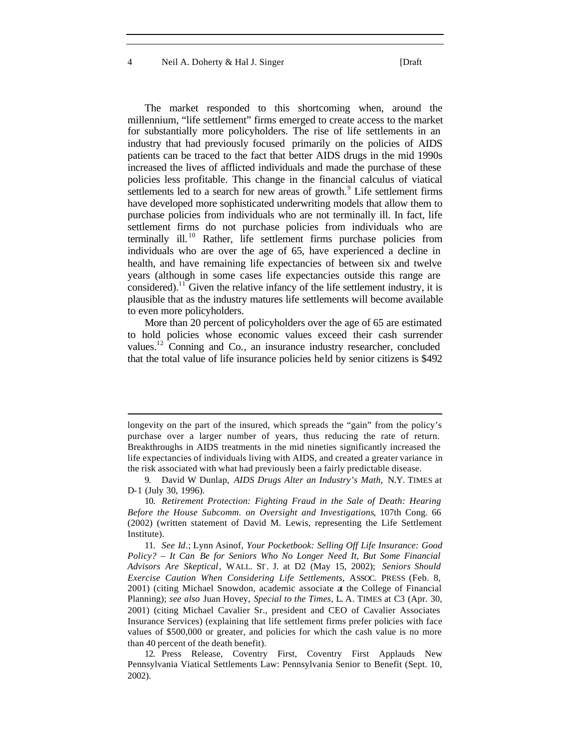4 Neil A. Doherty & Hal J. Singer [Draft

 $\overline{\phantom{a}}$ 

The market responded to this shortcoming when, around the millennium, "life settlement" firms emerged to create access to the market for substantially more policyholders. The rise of life settlements in an industry that had previously focused primarily on the policies of AIDS patients can be traced to the fact that better AIDS drugs in the mid 1990s increased the lives of afflicted individuals and made the purchase of these policies less profitable. This change in the financial calculus of viatical settlements led to a search for new areas of growth.<sup>9</sup> Life settlement firms have developed more sophisticated underwriting models that allow them to purchase policies from individuals who are not terminally ill. In fact, life settlement firms do not purchase policies from individuals who are terminally ill.<sup>10</sup> Rather, life settlement firms purchase policies from individuals who are over the age of 65, have experienced a decline in health, and have remaining life expectancies of between six and twelve years (although in some cases life expectancies outside this range are considered).<sup>11</sup> Given the relative infancy of the life settlement industry, it is plausible that as the industry matures life settlements will become available to even more policyholders.

More than 20 percent of policyholders over the age of 65 are estimated to hold policies whose economic values exceed their cash surrender values.<sup>12</sup> Conning and Co., an insurance industry researcher, concluded that the total value of life insurance policies held by senior citizens is \$492

longevity on the part of the insured, which spreads the "gain" from the policy's purchase over a larger number of years, thus reducing the rate of return. Breakthroughs in AIDS treatments in the mid nineties significantly increased the life expectancies of individuals living with AIDS, and created a greater variance in the risk associated with what had previously been a fairly predictable disease.

<sup>9.</sup> David W Dunlap, *AIDS Drugs Alter an Industry's Math,* N.Y. TIMES at D-1 (July 30, 1996).

<sup>10.</sup> *Retirement Protection: Fighting Fraud in the Sale of Death: Hearing Before the House Subcomm. on Oversight and Investigations*, 107th Cong. 66 (2002) (written statement of David M. Lewis, representing the Life Settlement Institute).

<sup>11.</sup> *See Id*.; Lynn Asinof, *Your Pocketbook: Selling Off Life Insurance: Good Policy? – It Can Be for Seniors Who No Longer Need It, But Some Financial Advisors Are Skeptical*, WALL. ST. J. at D2 (May 15, 2002); *Seniors Should Exercise Caution When Considering Life Settlements*, ASSOC. PRESS (Feb. 8, 2001) (citing Michael Snowdon, academic associate at the College of Financial Planning); *see also* Juan Hovey, *Special to the Times*, L. A. TIMES at C3 (Apr. 30, 2001) (citing Michael Cavalier Sr., president and CEO of Cavalier Associates Insurance Services) (explaining that life settlement firms prefer policies with face values of \$500,000 or greater, and policies for which the cash value is no more than 40 percent of the death benefit).

<sup>12.</sup> Press Release, Coventry First, Coventry First Applauds New Pennsylvania Viatical Settlements Law: Pennsylvania Senior to Benefit (Sept. 10, 2002).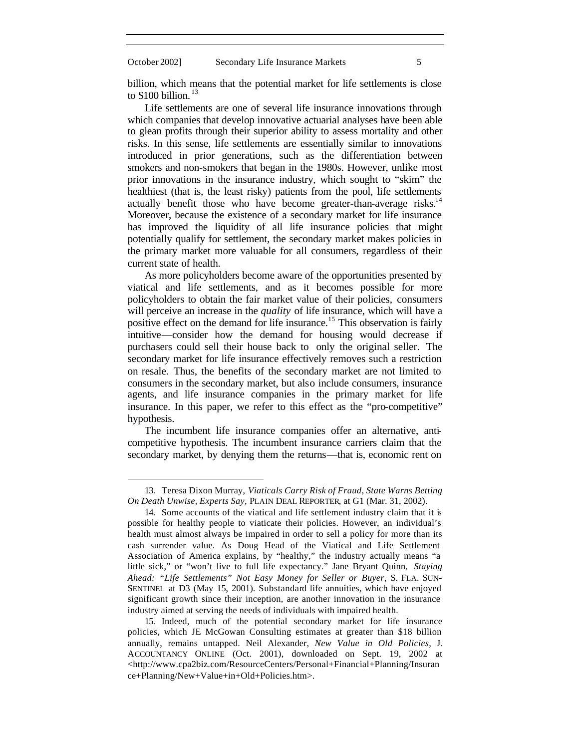billion, which means that the potential market for life settlements is close to  $$100$  billion.<sup>13</sup>

Life settlements are one of several life insurance innovations through which companies that develop innovative actuarial analyses have been able to glean profits through their superior ability to assess mortality and other risks. In this sense, life settlements are essentially similar to innovations introduced in prior generations, such as the differentiation between smokers and non-smokers that began in the 1980s. However, unlike most prior innovations in the insurance industry, which sought to "skim" the healthiest (that is, the least risky) patients from the pool, life settlements actually benefit those who have become greater-than-average risks.<sup>14</sup> Moreover, because the existence of a secondary market for life insurance has improved the liquidity of all life insurance policies that might potentially qualify for settlement, the secondary market makes policies in the primary market more valuable for all consumers, regardless of their current state of health.

As more policyholders become aware of the opportunities presented by viatical and life settlements, and as it becomes possible for more policyholders to obtain the fair market value of their policies, consumers will perceive an increase in the *quality* of life insurance, which will have a positive effect on the demand for life insurance.<sup>15</sup> This observation is fairly intuitive—consider how the demand for housing would decrease if purchasers could sell their house back to only the original seller. The secondary market for life insurance effectively removes such a restriction on resale. Thus, the benefits of the secondary market are not limited to consumers in the secondary market, but also include consumers, insurance agents, and life insurance companies in the primary market for life insurance. In this paper, we refer to this effect as the "pro-competitive" hypothesis.

The incumbent life insurance companies offer an alternative, anticompetitive hypothesis. The incumbent insurance carriers claim that the secondary market, by denying them the returns—that is, economic rent on

<sup>13.</sup> Teresa Dixon Murray, *Viaticals Carry Risk of Fraud, State Warns Betting On Death Unwise, Experts Say*, PLAIN DEAL REPORTER, at G1 (Mar. 31, 2002).

<sup>14.</sup> Some accounts of the viatical and life settlement industry claim that it is possible for healthy people to viaticate their policies. However, an individual's health must almost always be impaired in order to sell a policy for more than its cash surrender value. As Doug Head of the Viatical and Life Settlement Association of America explains, by "healthy," the industry actually means "a little sick," or "won't live to full life expectancy." Jane Bryant Quinn, *Staying Ahead: "Life Settlements" Not Easy Money for Seller or Buyer*, S. FLA. SUN-SENTINEL at D3 (May 15, 2001). Substandard life annuities, which have enjoyed significant growth since their inception, are another innovation in the insurance industry aimed at serving the needs of individuals with impaired health.

<sup>15.</sup> Indeed, much of the potential secondary market for life insurance policies, which JE McGowan Consulting estimates at greater than \$18 billion annually, remains untapped. Neil Alexander, *New Value in Old Policies*, J. ACCOUNTANCY ONLINE (Oct. 2001), downloaded on Sept. 19, 2002 at <http://www.cpa2biz.com/ResourceCenters/Personal+Financial+Planning/Insuran ce+Planning/New+Value+in+Old+Policies.htm>.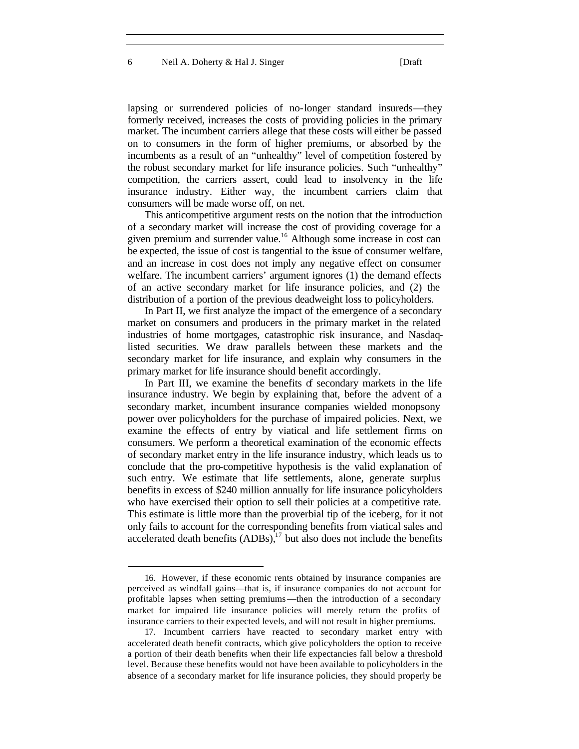lapsing or surrendered policies of no-longer standard insureds—they formerly received, increases the costs of providing policies in the primary market. The incumbent carriers allege that these costs will either be passed on to consumers in the form of higher premiums, or absorbed by the incumbents as a result of an "unhealthy" level of competition fostered by the robust secondary market for life insurance policies. Such "unhealthy" competition, the carriers assert, could lead to insolvency in the life insurance industry. Either way, the incumbent carriers claim that consumers will be made worse off, on net.

This anticompetitive argument rests on the notion that the introduction of a secondary market will increase the cost of providing coverage for a given premium and surrender value.<sup>16</sup> Although some increase in cost can be expected, the issue of cost is tangential to the issue of consumer welfare, and an increase in cost does not imply any negative effect on consumer welfare. The incumbent carriers' argument ignores (1) the demand effects of an active secondary market for life insurance policies, and (2) the distribution of a portion of the previous deadweight loss to policyholders.

In Part II, we first analyze the impact of the emergence of a secondary market on consumers and producers in the primary market in the related industries of home mortgages, catastrophic risk insurance, and Nasdaqlisted securities. We draw parallels between these markets and the secondary market for life insurance, and explain why consumers in the primary market for life insurance should benefit accordingly.

In Part III, we examine the benefits of secondary markets in the life insurance industry. We begin by explaining that, before the advent of a secondary market, incumbent insurance companies wielded monopsony power over policyholders for the purchase of impaired policies. Next, we examine the effects of entry by viatical and life settlement firms on consumers. We perform a theoretical examination of the economic effects of secondary market entry in the life insurance industry, which leads us to conclude that the pro-competitive hypothesis is the valid explanation of such entry. We estimate that life settlements, alone, generate surplus benefits in excess of \$240 million annually for life insurance policyholders who have exercised their option to sell their policies at a competitive rate. This estimate is little more than the proverbial tip of the iceberg, for it not only fails to account for the corresponding benefits from viatical sales and accelerated death benefits  $(ADBs)$ ,  $^{17}$  but also does not include the benefits

<sup>16.</sup> However, if these economic rents obtained by insurance companies are perceived as windfall gains—that is, if insurance companies do not account for profitable lapses when setting premiums—then the introduction of a secondary market for impaired life insurance policies will merely return the profits of insurance carriers to their expected levels, and will not result in higher premiums.

<sup>17.</sup> Incumbent carriers have reacted to secondary market entry with accelerated death benefit contracts, which give policyholders the option to receive a portion of their death benefits when their life expectancies fall below a threshold level. Because these benefits would not have been available to policyholders in the absence of a secondary market for life insurance policies, they should properly be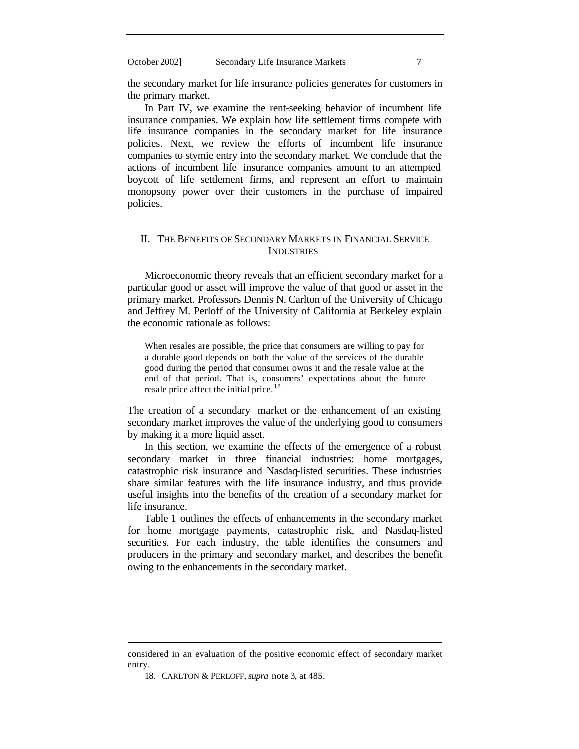the secondary market for life insurance policies generates for customers in the primary market.

In Part IV, we examine the rent-seeking behavior of incumbent life insurance companies. We explain how life settlement firms compete with life insurance companies in the secondary market for life insurance policies. Next, we review the efforts of incumbent life insurance companies to stymie entry into the secondary market. We conclude that the actions of incumbent life insurance companies amount to an attempted boycott of life settlement firms, and represent an effort to maintain monopsony power over their customers in the purchase of impaired policies.

#### II. THE BENEFITS OF SECONDARY MARKETS IN FINANCIAL SERVICE INDUSTRIES

Microeconomic theory reveals that an efficient secondary market for a particular good or asset will improve the value of that good or asset in the primary market. Professors Dennis N. Carlton of the University of Chicago and Jeffrey M. Perloff of the University of California at Berkeley explain the economic rationale as follows:

When resales are possible, the price that consumers are willing to pay for a durable good depends on both the value of the services of the durable good during the period that consumer owns it and the resale value at the end of that period. That is, consumers' expectations about the future resale price affect the initial price.<sup>18</sup>

The creation of a secondary market or the enhancement of an existing secondary market improves the value of the underlying good to consumers by making it a more liquid asset.

In this section, we examine the effects of the emergence of a robust secondary market in three financial industries: home mortgages, catastrophic risk insurance and Nasdaq-listed securities. These industries share similar features with the life insurance industry, and thus provide useful insights into the benefits of the creation of a secondary market for life insurance.

Table 1 outlines the effects of enhancements in the secondary market for home mortgage payments, catastrophic risk, and Nasdaq-listed securities. For each industry, the table identifies the consumers and producers in the primary and secondary market, and describes the benefit owing to the enhancements in the secondary market.

considered in an evaluation of the positive economic effect of secondary market entry.

<sup>18.</sup> CARLTON & PERLOFF, *supra* note 3, at 485.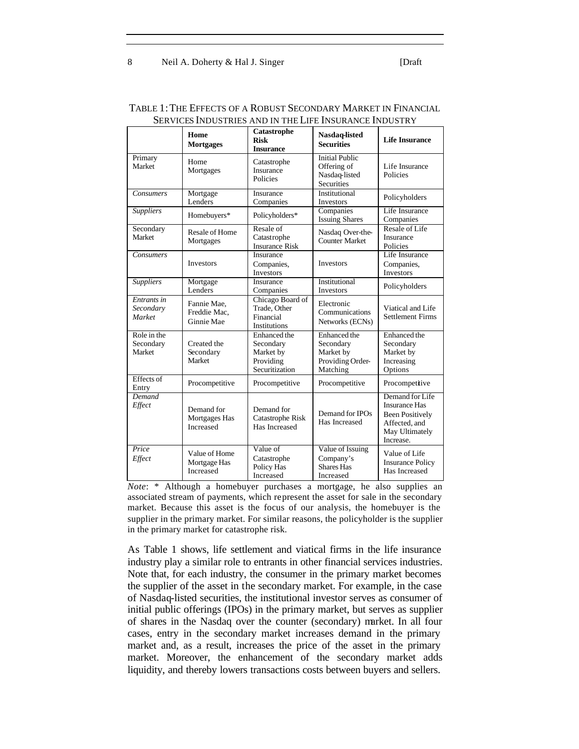|                                    | Home<br><b>Mortgages</b>                   | Catastrophe<br><b>Risk</b><br><b>Insurance</b>                        | Nasdaq-listed<br><b>Securities</b>                                         | <b>Life Insurance</b>                                                                                             |
|------------------------------------|--------------------------------------------|-----------------------------------------------------------------------|----------------------------------------------------------------------------|-------------------------------------------------------------------------------------------------------------------|
| Primary<br><b>Market</b>           | Home<br>Mortgages                          | Catastrophe<br>Insurance<br>Policies                                  | <b>Initial Public</b><br>Offering of<br>Nasdaq-listed<br><b>Securities</b> | Life Insurance<br>Policies                                                                                        |
| Consumers                          | Mortgage<br>Lenders                        | Insurance<br>Companies                                                | Institutional<br><b>Investors</b>                                          | Policyholders                                                                                                     |
| <b>Suppliers</b>                   | Homebuyers*                                | Policyholders*                                                        | Companies<br><b>Issuing Shares</b>                                         | Life Insurance<br>Companies                                                                                       |
| Secondary<br>Market                | Resale of Home<br>Mortgages                | Resale of<br>Catastrophe<br><b>Insurance Risk</b>                     | Nasdaq Over-the-<br><b>Counter Market</b>                                  | Resale of Life<br>Insurance<br>Policies                                                                           |
| <b>Consumers</b>                   | <b>Investors</b>                           | Insurance<br>Companies,<br><b>Investors</b>                           | <b>Investors</b>                                                           | Life Insurance<br>Companies,<br><b>Investors</b>                                                                  |
| <b>Suppliers</b>                   | Mortgage<br>Lenders                        | Insurance<br>Companies                                                | Institutional<br><b>Investors</b>                                          | Policyholders                                                                                                     |
| Entrants in<br>Secondary<br>Market | Fannie Mae,<br>Freddie Mac.<br>Ginnie Mae  | Chicago Board of<br>Trade, Other<br>Financial<br>Institutions         | Electronic<br>Communications<br>Networks (ECNs)                            | Viatical and Life<br><b>Settlement Firms</b>                                                                      |
| Role in the<br>Secondary<br>Market | Created the<br>Secondary<br>Market         | Enhanced the<br>Secondary<br>Market by<br>Providing<br>Securitization | Enhanced the<br>Secondary<br>Market by<br>Providing Order-<br>Matching     | Enhanced the<br>Secondary<br>Market by<br>Increasing<br>Options                                                   |
| Effects of<br>Entry                | Procompetitive                             | Procompetitive                                                        | Procompetitive                                                             | Procompetitive                                                                                                    |
| Demand<br>Effect                   | Demand for<br>Mortgages Has<br>Increased   | Demand for<br>Catastrophe Risk<br>Has Increased                       | Demand for IPOs<br>Has Increased                                           | Demand for Life<br><b>Insurance Has</b><br><b>Been Positively</b><br>Affected, and<br>May Ultimately<br>Increase. |
| Price<br>Effect                    | Value of Home<br>Mortgage Has<br>Increased | Value of<br>Catastrophe<br>Policy Has<br>Increased                    | Value of Issuing<br>Company's<br><b>Shares Has</b><br>Increased            | Value of Life<br><b>Insurance Policy</b><br>Has Increased                                                         |

#### TABLE 1:THE EFFECTS OF A ROBUST SECONDARY MARKET IN FINANCIAL SERVICES INDUSTRIES AND IN THE LIFE INSURANCE INDUSTRY

*Note*: \* Although a homebuyer purchases a mortgage, he also supplies an associated stream of payments, which represent the asset for sale in the secondary market. Because this asset is the focus of our analysis, the homebuyer is the supplier in the primary market. For similar reasons, the policyholder is the supplier in the primary market for catastrophe risk.

As Table 1 shows, life settlement and viatical firms in the life insurance industry play a similar role to entrants in other financial services industries. Note that, for each industry, the consumer in the primary market becomes the supplier of the asset in the secondary market. For example, in the case of Nasdaq-listed securities, the institutional investor serves as consumer of initial public offerings (IPOs) in the primary market, but serves as supplier of shares in the Nasdaq over the counter (secondary) market. In all four cases, entry in the secondary market increases demand in the primary market and, as a result, increases the price of the asset in the primary market. Moreover, the enhancement of the secondary market adds liquidity, and thereby lowers transactions costs between buyers and sellers.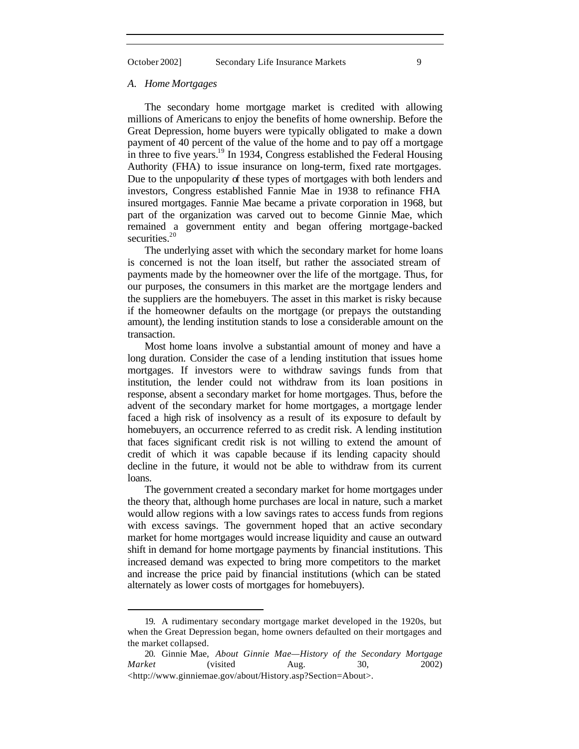$\overline{\phantom{a}}$ 

#### *A. Home Mortgages*

The secondary home mortgage market is credited with allowing millions of Americans to enjoy the benefits of home ownership. Before the Great Depression, home buyers were typically obligated to make a down payment of 40 percent of the value of the home and to pay off a mortgage in three to five years.<sup>19</sup> In 1934, Congress established the Federal Housing Authority (FHA) to issue insurance on long-term, fixed rate mortgages. Due to the unpopularity of these types of mortgages with both lenders and investors, Congress established Fannie Mae in 1938 to refinance FHA insured mortgages. Fannie Mae became a private corporation in 1968, but part of the organization was carved out to become Ginnie Mae, which remained a government entity and began offering mortgage-backed securities.<sup>20</sup>

The underlying asset with which the secondary market for home loans is concerned is not the loan itself, but rather the associated stream of payments made by the homeowner over the life of the mortgage. Thus, for our purposes, the consumers in this market are the mortgage lenders and the suppliers are the homebuyers. The asset in this market is risky because if the homeowner defaults on the mortgage (or prepays the outstanding amount), the lending institution stands to lose a considerable amount on the transaction.

Most home loans involve a substantial amount of money and have a long duration. Consider the case of a lending institution that issues home mortgages. If investors were to withdraw savings funds from that institution, the lender could not withdraw from its loan positions in response, absent a secondary market for home mortgages. Thus, before the advent of the secondary market for home mortgages, a mortgage lender faced a high risk of insolvency as a result of its exposure to default by homebuyers, an occurrence referred to as credit risk. A lending institution that faces significant credit risk is not willing to extend the amount of credit of which it was capable because if its lending capacity should decline in the future, it would not be able to withdraw from its current loans.

The government created a secondary market for home mortgages under the theory that, although home purchases are local in nature, such a market would allow regions with a low savings rates to access funds from regions with excess savings. The government hoped that an active secondary market for home mortgages would increase liquidity and cause an outward shift in demand for home mortgage payments by financial institutions. This increased demand was expected to bring more competitors to the market and increase the price paid by financial institutions (which can be stated alternately as lower costs of mortgages for homebuyers).

<sup>19.</sup> A rudimentary secondary mortgage market developed in the 1920s, but when the Great Depression began, home owners defaulted on their mortgages and the market collapsed.

<sup>20.</sup> Ginnie Mae, *About Ginnie Mae—History of the Secondary Mortgage Market* (visited Aug. 30, 2002) <http://www.ginniemae.gov/about/History.asp?Section=About>.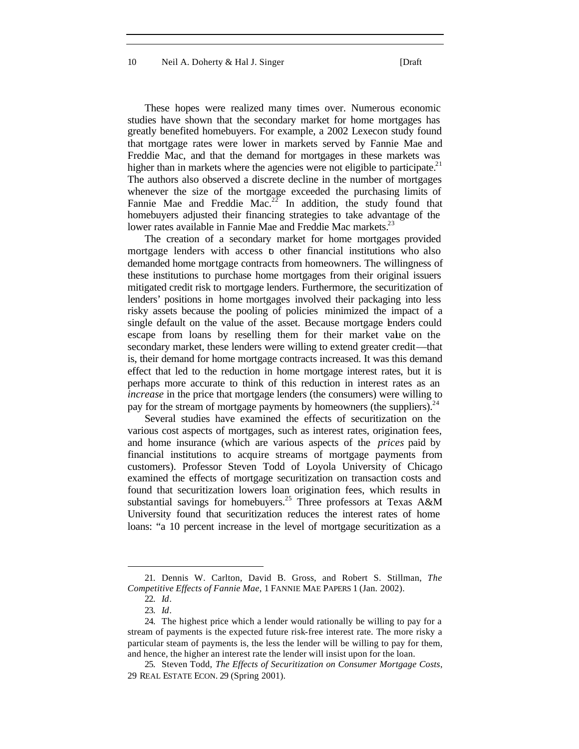10 Neil A. Doherty & Hal J. Singer [Draft]

These hopes were realized many times over. Numerous economic studies have shown that the secondary market for home mortgages has greatly benefited homebuyers. For example, a 2002 Lexecon study found that mortgage rates were lower in markets served by Fannie Mae and Freddie Mac, and that the demand for mortgages in these markets was higher than in markets where the agencies were not eligible to participate.<sup>21</sup> The authors also observed a discrete decline in the number of mortgages whenever the size of the mortgage exceeded the purchasing limits of Fannie Mae and Freddie Mac.<sup>22</sup> In addition, the study found that homebuyers adjusted their financing strategies to take advantage of the lower rates available in Fannie Mae and Freddie Mac markets.<sup>23</sup>

The creation of a secondary market for home mortgages provided mortgage lenders with access to other financial institutions who also demanded home mortgage contracts from homeowners. The willingness of these institutions to purchase home mortgages from their original issuers mitigated credit risk to mortgage lenders. Furthermore, the securitization of lenders' positions in home mortgages involved their packaging into less risky assets because the pooling of policies minimized the impact of a single default on the value of the asset. Because mortgage lenders could escape from loans by reselling them for their market value on the secondary market, these lenders were willing to extend greater credit—that is, their demand for home mortgage contracts increased. It was this demand effect that led to the reduction in home mortgage interest rates, but it is perhaps more accurate to think of this reduction in interest rates as an *increase* in the price that mortgage lenders (the consumers) were willing to pay for the stream of mortgage payments by homeowners (the suppliers).  $24$ 

Several studies have examined the effects of securitization on the various cost aspects of mortgages, such as interest rates, origination fees, and home insurance (which are various aspects of the *prices* paid by financial institutions to acquire streams of mortgage payments from customers). Professor Steven Todd of Loyola University of Chicago examined the effects of mortgage securitization on transaction costs and found that securitization lowers loan origination fees, which results in substantial savings for homebuyers.<sup>25</sup> Three professors at Texas A&M University found that securitization reduces the interest rates of home loans: "a 10 percent increase in the level of mortgage securitization as a

<sup>21.</sup> Dennis W. Carlton, David B. Gross, and Robert S. Stillman, *The Competitive Effects of Fannie Mae*, 1 FANNIE MAE PAPERS 1 (Jan. 2002).

<sup>22.</sup> *Id*.

<sup>23.</sup> *Id*.

<sup>24.</sup> The highest price which a lender would rationally be willing to pay for a stream of payments is the expected future risk-free interest rate. The more risky a particular steam of payments is, the less the lender will be willing to pay for them, and hence, the higher an interest rate the lender will insist upon for the loan.

<sup>25.</sup> Steven Todd, *The Effects of Securitization on Consumer Mortgage Costs*, 29 REAL ESTATE ECON. 29 (Spring 2001).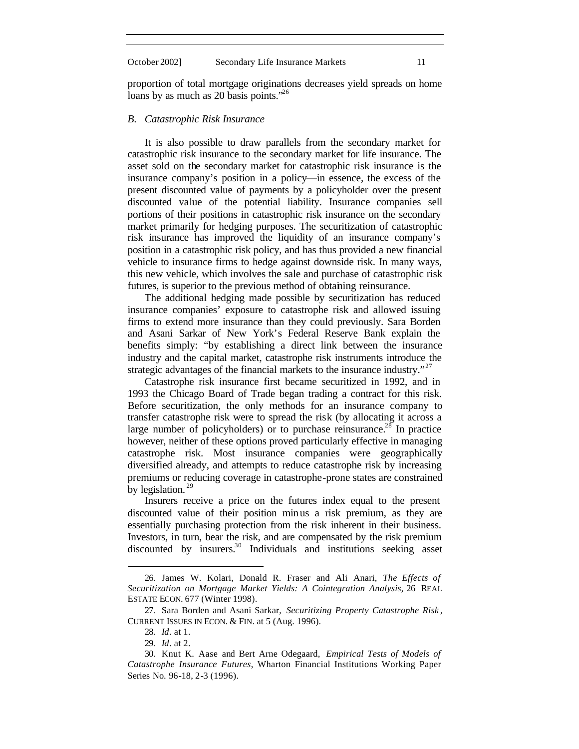proportion of total mortgage originations decreases yield spreads on home loans by as much as 20 basis points. $^{26}$ 

#### *B. Catastrophic Risk Insurance*

It is also possible to draw parallels from the secondary market for catastrophic risk insurance to the secondary market for life insurance. The asset sold on the secondary market for catastrophic risk insurance is the insurance company's position in a policy—in essence, the excess of the present discounted value of payments by a policyholder over the present discounted value of the potential liability. Insurance companies sell portions of their positions in catastrophic risk insurance on the secondary market primarily for hedging purposes. The securitization of catastrophic risk insurance has improved the liquidity of an insurance company's position in a catastrophic risk policy, and has thus provided a new financial vehicle to insurance firms to hedge against downside risk. In many ways, this new vehicle, which involves the sale and purchase of catastrophic risk futures, is superior to the previous method of obtaining reinsurance.

The additional hedging made possible by securitization has reduced insurance companies' exposure to catastrophe risk and allowed issuing firms to extend more insurance than they could previously. Sara Borden and Asani Sarkar of New York's Federal Reserve Bank explain the benefits simply: "by establishing a direct link between the insurance industry and the capital market, catastrophe risk instruments introduce the strategic advantages of the financial markets to the insurance industry. $"^{27}$ 

Catastrophe risk insurance first became securitized in 1992, and in 1993 the Chicago Board of Trade began trading a contract for this risk. Before securitization, the only methods for an insurance company to transfer catastrophe risk were to spread the risk (by allocating it across a large number of policyholders) or to purchase reinsurance.<sup>28</sup> In practice however, neither of these options proved particularly effective in managing catastrophe risk. Most insurance companies were geographically diversified already, and attempts to reduce catastrophe risk by increasing premiums or reducing coverage in catastrophe-prone states are constrained by legislation.  $29$ 

Insurers receive a price on the futures index equal to the present discounted value of their position minus a risk premium, as they are essentially purchasing protection from the risk inherent in their business. Investors, in turn, bear the risk, and are compensated by the risk premium discounted by insurers.<sup>30</sup> Individuals and institutions seeking asset

<sup>26.</sup> James W. Kolari, Donald R. Fraser and Ali Anari, *The Effects of Securitization on Mortgage Market Yields: A Cointegration Analysis*, 26 REAL ESTATE ECON. 677 (Winter 1998).

<sup>27.</sup> Sara Borden and Asani Sarkar, *Securitizing Property Catastrophe Risk* , CURRENT ISSUES IN ECON. & FIN. at 5 (Aug. 1996).

<sup>28.</sup> *Id*. at 1.

<sup>29.</sup> *Id*. at 2.

<sup>30.</sup> Knut K. Aase and Bert Arne Odegaard, *Empirical Tests of Models of Catastrophe Insurance Futures*, Wharton Financial Institutions Working Paper Series No. 96-18, 2-3 (1996).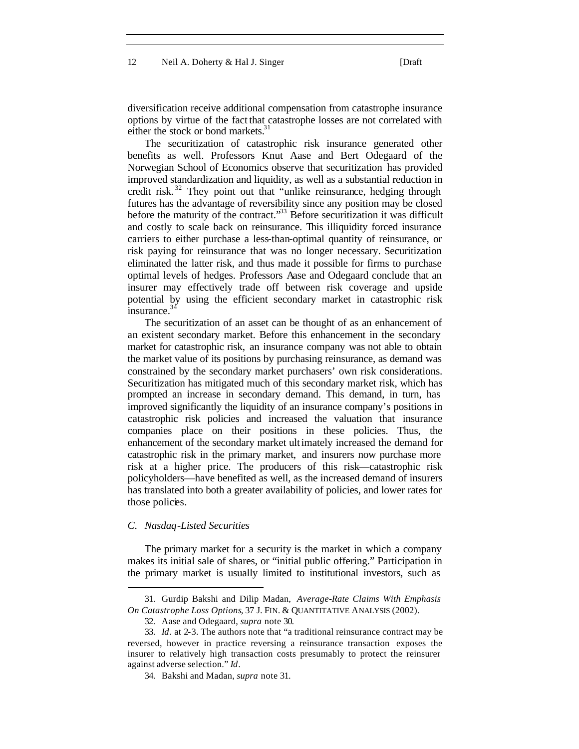diversification receive additional compensation from catastrophe insurance options by virtue of the fact that catastrophe losses are not correlated with either the stock or bond markets.<sup>31</sup>

The securitization of catastrophic risk insurance generated other benefits as well. Professors Knut Aase and Bert Odegaard of the Norwegian School of Economics observe that securitization has provided improved standardization and liquidity, as well as a substantial reduction in credit risk. <sup>32</sup> They point out that "unlike reinsurance, hedging through futures has the advantage of reversibility since any position may be closed before the maturity of the contract." $33$  Before securitization it was difficult and costly to scale back on reinsurance. This illiquidity forced insurance carriers to either purchase a less-than-optimal quantity of reinsurance, or risk paying for reinsurance that was no longer necessary. Securitization eliminated the latter risk, and thus made it possible for firms to purchase optimal levels of hedges. Professors Aase and Odegaard conclude that an insurer may effectively trade off between risk coverage and upside potential by using the efficient secondary market in catastrophic risk insurance.<sup>3</sup>

The securitization of an asset can be thought of as an enhancement of an existent secondary market. Before this enhancement in the secondary market for catastrophic risk, an insurance company was not able to obtain the market value of its positions by purchasing reinsurance, as demand was constrained by the secondary market purchasers' own risk considerations. Securitization has mitigated much of this secondary market risk, which has prompted an increase in secondary demand. This demand, in turn, has improved significantly the liquidity of an insurance company's positions in catastrophic risk policies and increased the valuation that insurance companies place on their positions in these policies. Thus, the enhancement of the secondary market ultimately increased the demand for catastrophic risk in the primary market, and insurers now purchase more risk at a higher price. The producers of this risk—catastrophic risk policyholders—have benefited as well, as the increased demand of insurers has translated into both a greater availability of policies, and lower rates for those policies.

#### *C. Nasdaq-Listed Securities*

 $\overline{\phantom{a}}$ 

The primary market for a security is the market in which a company makes its initial sale of shares, or "initial public offering." Participation in the primary market is usually limited to institutional investors, such as

<sup>31.</sup> Gurdip Bakshi and Dilip Madan, *Average-Rate Claims With Emphasis On Catastrophe Loss Options*, 37 J. FIN. & QUANTITATIVE ANALYSIS (2002).

<sup>32.</sup> Aase and Odegaard, *supra* note 30*.*

<sup>33.</sup> *Id*. at 2-3. The authors note that "a traditional reinsurance contract may be reversed, however in practice reversing a reinsurance transaction exposes the insurer to relatively high transaction costs presumably to protect the reinsurer against adverse selection." *Id*.

<sup>34.</sup> Bakshi and Madan, *supra* note 31.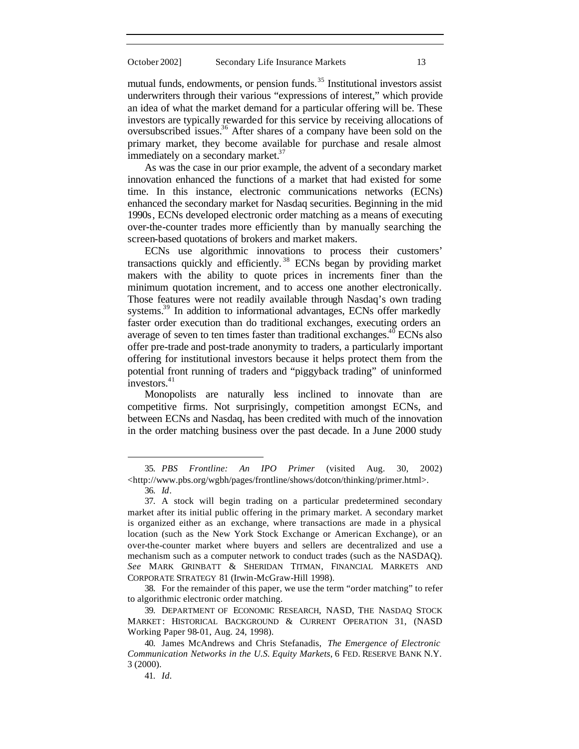mutual funds, endowments, or pension funds. $35$  Institutional investors assist underwriters through their various "expressions of interest," which provide an idea of what the market demand for a particular offering will be. These investors are typically rewarded for this service by receiving allocations of oversubscribed issues.<sup>36</sup> After shares of a company have been sold on the primary market, they become available for purchase and resale almost immediately on a secondary market.<sup>37</sup>

As was the case in our prior example, the advent of a secondary market innovation enhanced the functions of a market that had existed for some time. In this instance, electronic communications networks (ECNs) enhanced the secondary market for Nasdaq securities. Beginning in the mid 1990s, ECNs developed electronic order matching as a means of executing over-the-counter trades more efficiently than by manually searching the screen-based quotations of brokers and market makers.

ECNs use algorithmic innovations to process their customers' transactions quickly and efficiently. <sup>38</sup> ECNs began by providing market makers with the ability to quote prices in increments finer than the minimum quotation increment, and to access one another electronically. Those features were not readily available through Nasdaq's own trading systems.<sup>39</sup> In addition to informational advantages, ECNs offer markedly faster order execution than do traditional exchanges, executing orders an average of seven to ten times faster than traditional exchanges.<sup>40</sup> ECNs also offer pre-trade and post-trade anonymity to traders, a particularly important offering for institutional investors because it helps protect them from the potential front running of traders and "piggyback trading" of uninformed investors. $41$ 

Monopolists are naturally less inclined to innovate than are competitive firms. Not surprisingly, competition amongst ECNs, and between ECNs and Nasdaq, has been credited with much of the innovation in the order matching business over the past decade. In a June 2000 study

<sup>35.</sup> *PBS Frontline: An IPO Primer* (visited Aug. 30, 2002) <http://www.pbs.org/wgbh/pages/frontline/shows/dotcon/thinking/primer.html>.

<sup>36.</sup> *Id*.

<sup>37.</sup> A stock will begin trading on a particular predetermined secondary market after its initial public offering in the primary market. A secondary market is organized either as an exchange, where transactions are made in a physical location (such as the New York Stock Exchange or American Exchange), or an over-the-counter market where buyers and sellers are decentralized and use a mechanism such as a computer network to conduct trades (such as the NASDAQ). *See* MARK GRINBATT & SHERIDAN TITMAN, FINANCIAL MARKETS AND CORPORATE STRATEGY 81 (Irwin-McGraw-Hill 1998).

<sup>38.</sup> For the remainder of this paper, we use the term "order matching" to refer to algorithmic electronic order matching.

<sup>39.</sup> DEPARTMENT OF ECONOMIC RESEARCH, NASD, THE NASDAQ STOCK MARKET: HISTORICAL BACKGROUND & CURRENT OPERATION 31, (NASD Working Paper 98-01, Aug. 24, 1998).

<sup>40.</sup> James McAndrews and Chris Stefanadis, *The Emergence of Electronic Communication Networks in the U.S. Equity Markets*, 6 FED. RESERVE BANK N.Y. 3 (2000).

<sup>41.</sup> *Id.*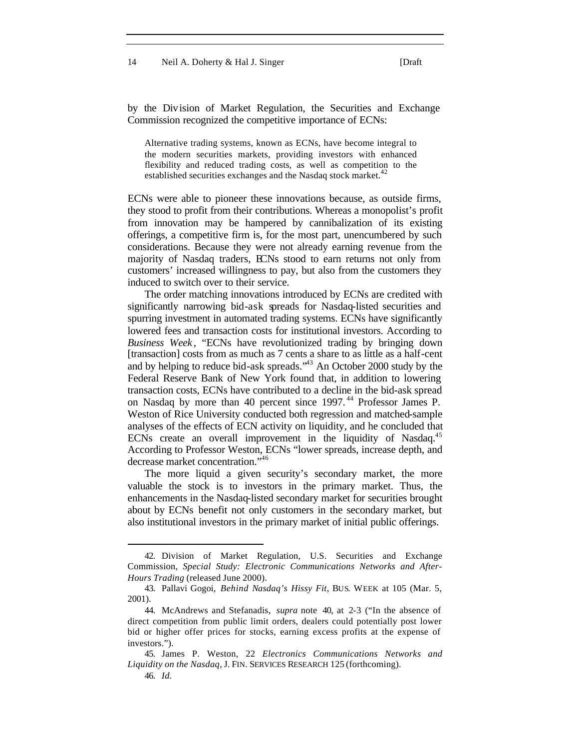14 Neil A. Doherty & Hal J. Singer [Draft]

by the Division of Market Regulation, the Securities and Exchange Commission recognized the competitive importance of ECNs:

Alternative trading systems, known as ECNs, have become integral to the modern securities markets, providing investors with enhanced flexibility and reduced trading costs, as well as competition to the established securities exchanges and the Nasdaq stock market.<sup>4</sup>

ECNs were able to pioneer these innovations because, as outside firms, they stood to profit from their contributions. Whereas a monopolist's profit from innovation may be hampered by cannibalization of its existing offerings, a competitive firm is, for the most part, unencumbered by such considerations. Because they were not already earning revenue from the majority of Nasdaq traders, ECNs stood to earn returns not only from customers' increased willingness to pay, but also from the customers they induced to switch over to their service.

The order matching innovations introduced by ECNs are credited with significantly narrowing bid-ask spreads for Nasdaq-listed securities and spurring investment in automated trading systems. ECNs have significantly lowered fees and transaction costs for institutional investors. According to *Business Week* , "ECNs have revolutionized trading by bringing down [transaction] costs from as much as 7 cents a share to as little as a half-cent and by helping to reduce bid-ask spreads.<sup>343</sup> An October 2000 study by the Federal Reserve Bank of New York found that, in addition to lowering transaction costs, ECNs have contributed to a decline in the bid-ask spread on Nasdaq by more than 40 percent since 1997.<sup>44</sup> Professor James P. Weston of Rice University conducted both regression and matched-sample analyses of the effects of ECN activity on liquidity, and he concluded that ECNs create an overall improvement in the liquidity of Nasdaq.<sup>45</sup> According to Professor Weston, ECNs "lower spreads, increase depth, and decrease market concentration."<sup>46</sup>

The more liquid a given security's secondary market, the more valuable the stock is to investors in the primary market. Thus, the enhancements in the Nasdaq-listed secondary market for securities brought about by ECNs benefit not only customers in the secondary market, but also institutional investors in the primary market of initial public offerings.

<sup>42.</sup> Division of Market Regulation, U.S. Securities and Exchange Commission, *Special Study: Electronic Communications Networks and After-Hours Trading* (released June 2000).

<sup>43.</sup> Pallavi Gogoi, *Behind Nasdaq's Hissy Fit*, BUS. WEEK at 105 (Mar. 5, 2001).

<sup>44.</sup> McAndrews and Stefanadis, *supra* note 40, at 2-3 ("In the absence of direct competition from public limit orders, dealers could potentially post lower bid or higher offer prices for stocks, earning excess profits at the expense of investors.").

<sup>45.</sup> James P. Weston, 22 *Electronics Communications Networks and Liquidity on the Nasdaq*, J. FIN. SERVICES RESEARCH 125 (forthcoming).

<sup>46.</sup> *Id.*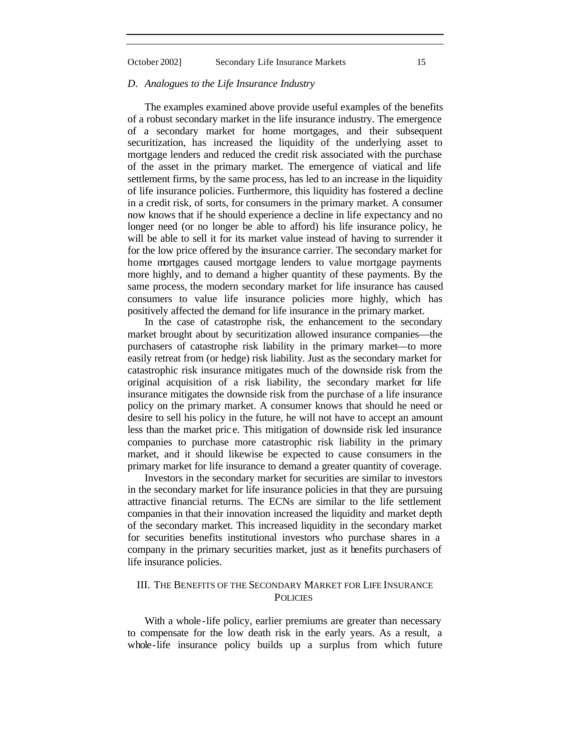#### *D. Analogues to the Life Insurance Industry*

The examples examined above provide useful examples of the benefits of a robust secondary market in the life insurance industry. The emergence of a secondary market for home mortgages, and their subsequent securitization, has increased the liquidity of the underlying asset to mortgage lenders and reduced the credit risk associated with the purchase of the asset in the primary market. The emergence of viatical and life settlement firms, by the same process, has led to an increase in the liquidity of life insurance policies. Furthermore, this liquidity has fostered a decline in a credit risk, of sorts, for consumers in the primary market. A consumer now knows that if he should experience a decline in life expectancy and no longer need (or no longer be able to afford) his life insurance policy, he will be able to sell it for its market value instead of having to surrender it for the low price offered by the insurance carrier. The secondary market for home mortgages caused mortgage lenders to value mortgage payments more highly, and to demand a higher quantity of these payments. By the same process, the modern secondary market for life insurance has caused consumers to value life insurance policies more highly, which has positively affected the demand for life insurance in the primary market.

In the case of catastrophe risk, the enhancement to the secondary market brought about by securitization allowed insurance companies—the purchasers of catastrophe risk liability in the primary market—to more easily retreat from (or hedge) risk liability. Just as the secondary market for catastrophic risk insurance mitigates much of the downside risk from the original acquisition of a risk liability, the secondary market for life insurance mitigates the downside risk from the purchase of a life insurance policy on the primary market. A consumer knows that should he need or desire to sell his policy in the future, he will not have to accept an amount less than the market pric e. This mitigation of downside risk led insurance companies to purchase more catastrophic risk liability in the primary market, and it should likewise be expected to cause consumers in the primary market for life insurance to demand a greater quantity of coverage.

Investors in the secondary market for securities are similar to investors in the secondary market for life insurance policies in that they are pursuing attractive financial returns. The ECNs are similar to the life settlement companies in that their innovation increased the liquidity and market depth of the secondary market. This increased liquidity in the secondary market for securities benefits institutional investors who purchase shares in a company in the primary securities market, just as it benefits purchasers of life insurance policies.

#### III. THE BENEFITS OF THE SECONDARY MARKET FOR LIFE INSURANCE **POLICIES**

With a whole-life policy, earlier premiums are greater than necessary to compensate for the low death risk in the early years. As a result, a whole-life insurance policy builds up a surplus from which future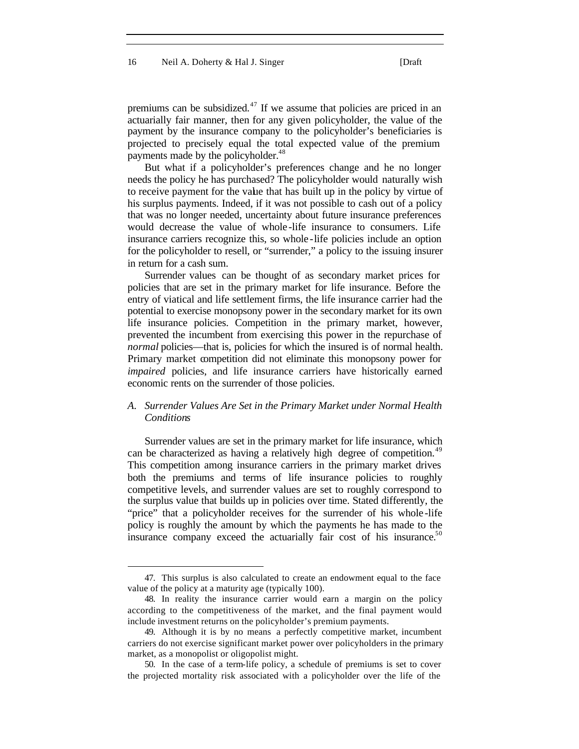premiums can be subsidized.<sup>47</sup> If we assume that policies are priced in an actuarially fair manner, then for any given policyholder, the value of the payment by the insurance company to the policyholder's beneficiaries is projected to precisely equal the total expected value of the premium payments made by the policyholder.<sup>48</sup>

But what if a policyholder's preferences change and he no longer needs the policy he has purchased? The policyholder would naturally wish to receive payment for the value that has built up in the policy by virtue of his surplus payments. Indeed, if it was not possible to cash out of a policy that was no longer needed, uncertainty about future insurance preferences would decrease the value of whole -life insurance to consumers. Life insurance carriers recognize this, so whole -life policies include an option for the policyholder to resell, or "surrender," a policy to the issuing insurer in return for a cash sum.

Surrender values can be thought of as secondary market prices for policies that are set in the primary market for life insurance. Before the entry of viatical and life settlement firms, the life insurance carrier had the potential to exercise monopsony power in the secondary market for its own life insurance policies. Competition in the primary market, however, prevented the incumbent from exercising this power in the repurchase of *normal* policies—that is, policies for which the insured is of normal health. Primary market competition did not eliminate this monopsony power for *impaired* policies, and life insurance carriers have historically earned economic rents on the surrender of those policies.

#### *A. Surrender Values Are Set in the Primary Market under Normal Health Conditions*

Surrender values are set in the primary market for life insurance, which can be characterized as having a relatively high degree of competition.<sup>49</sup> This competition among insurance carriers in the primary market drives both the premiums and terms of life insurance policies to roughly competitive levels, and surrender values are set to roughly correspond to the surplus value that builds up in policies over time. Stated differently, the "price" that a policyholder receives for the surrender of his whole-life policy is roughly the amount by which the payments he has made to the insurance company exceed the actuarially fair cost of his insurance.<sup>50</sup>

<sup>47.</sup> This surplus is also calculated to create an endowment equal to the face value of the policy at a maturity age (typically 100).

<sup>48.</sup> In reality the insurance carrier would earn a margin on the policy according to the competitiveness of the market, and the final payment would include investment returns on the policyholder's premium payments.

<sup>49.</sup> Although it is by no means a perfectly competitive market, incumbent carriers do not exercise significant market power over policyholders in the primary market, as a monopolist or oligopolist might.

<sup>50.</sup> In the case of a term-life policy, a schedule of premiums is set to cover the projected mortality risk associated with a policyholder over the life of the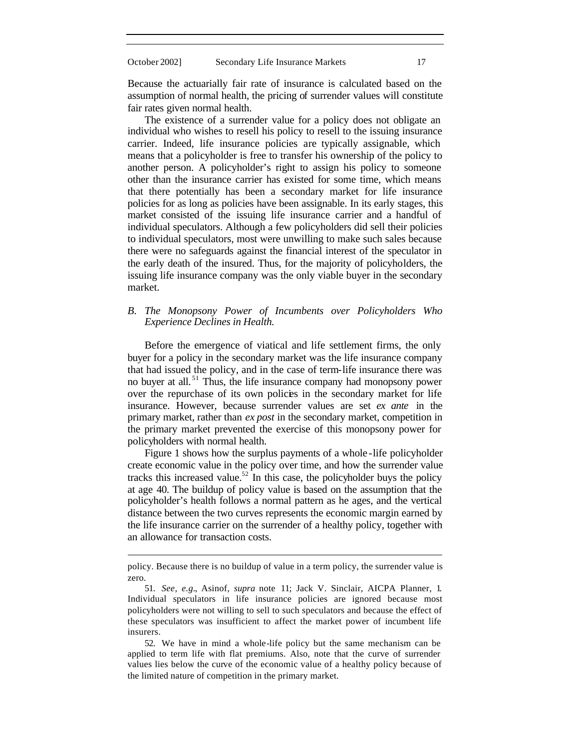Because the actuarially fair rate of insurance is calculated based on the assumption of normal health, the pricing of surrender values will constitute fair rates given normal health.

The existence of a surrender value for a policy does not obligate an individual who wishes to resell his policy to resell to the issuing insurance carrier. Indeed, life insurance policies are typically assignable, which means that a policyholder is free to transfer his ownership of the policy to another person. A policyholder's right to assign his policy to someone other than the insurance carrier has existed for some time, which means that there potentially has been a secondary market for life insurance policies for as long as policies have been assignable. In its early stages, this market consisted of the issuing life insurance carrier and a handful of individual speculators. Although a few policyholders did sell their policies to individual speculators, most were unwilling to make such sales because there were no safeguards against the financial interest of the speculator in the early death of the insured. Thus, for the majority of policyholders, the issuing life insurance company was the only viable buyer in the secondary market.

#### *B. The Monopsony Power of Incumbents over Policyholders Who Experience Declines in Health.*

Before the emergence of viatical and life settlement firms, the only buyer for a policy in the secondary market was the life insurance company that had issued the policy, and in the case of term-life insurance there was no buyer at all. <sup>51</sup> Thus, the life insurance company had monopsony power over the repurchase of its own policies in the secondary market for life insurance. However, because surrender values are set *ex ante* in the primary market, rather than *ex post* in the secondary market, competition in the primary market prevented the exercise of this monopsony power for policyholders with normal health.

Figure 1 shows how the surplus payments of a whole -life policyholder create economic value in the policy over time, and how the surrender value tracks this increased value.<sup>52</sup> In this case, the policyholder buys the policy at age 40. The buildup of policy value is based on the assumption that the policyholder's health follows a normal pattern as he ages, and the vertical distance between the two curves represents the economic margin earned by the life insurance carrier on the surrender of a healthy policy, together with an allowance for transaction costs.

policy. Because there is no buildup of value in a term policy, the surrender value is zero.

<sup>51.</sup> *See, e.g.*, Asinof, *supra* note 11; Jack V. Sinclair, AICPA Planner, 1. Individual speculators in life insurance policies are ignored because most policyholders were not willing to sell to such speculators and because the effect of these speculators was insufficient to affect the market power of incumbent life insurers.

<sup>52.</sup> We have in mind a whole-life policy but the same mechanism can be applied to term life with flat premiums. Also, note that the curve of surrender values lies below the curve of the economic value of a healthy policy because of the limited nature of competition in the primary market.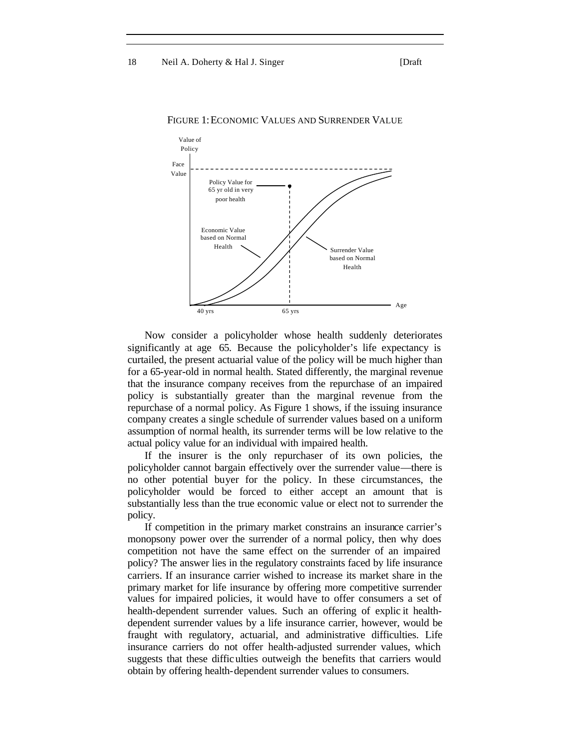

#### FIGURE 1:ECONOMIC VALUES AND SURRENDER VALUE

Now consider a policyholder whose health suddenly deteriorates significantly at age 65. Because the policyholder's life expectancy is curtailed, the present actuarial value of the policy will be much higher than for a 65-year-old in normal health. Stated differently, the marginal revenue that the insurance company receives from the repurchase of an impaired policy is substantially greater than the marginal revenue from the repurchase of a normal policy. As Figure 1 shows, if the issuing insurance company creates a single schedule of surrender values based on a uniform assumption of normal health, its surrender terms will be low relative to the actual policy value for an individual with impaired health.

If the insurer is the only repurchaser of its own policies, the policyholder cannot bargain effectively over the surrender value—there is no other potential buyer for the policy. In these circumstances, the policyholder would be forced to either accept an amount that is substantially less than the true economic value or elect not to surrender the policy.

If competition in the primary market constrains an insurance carrier's monopsony power over the surrender of a normal policy, then why does competition not have the same effect on the surrender of an impaired policy? The answer lies in the regulatory constraints faced by life insurance carriers. If an insurance carrier wished to increase its market share in the primary market for life insurance by offering more competitive surrender values for impaired policies, it would have to offer consumers a set of health-dependent surrender values. Such an offering of explic it healthdependent surrender values by a life insurance carrier, however, would be fraught with regulatory, actuarial, and administrative difficulties. Life insurance carriers do not offer health-adjusted surrender values, which suggests that these difficulties outweigh the benefits that carriers would obtain by offering health-dependent surrender values to consumers.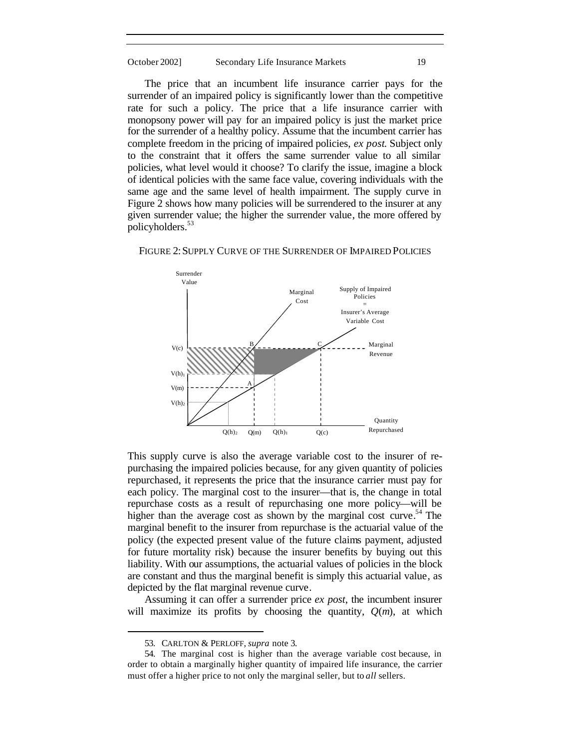The price that an incumbent life insurance carrier pays for the surrender of an impaired policy is significantly lower than the competitive rate for such a policy. The price that a life insurance carrier with monopsony power will pay for an impaired policy is just the market price for the surrender of a healthy policy. Assume that the incumbent carrier has complete freedom in the pricing of impaired policies, *ex post*. Subject only to the constraint that it offers the same surrender value to all similar policies, what level would it choose? To clarify the issue, imagine a block of identical policies with the same face value, covering individuals with the same age and the same level of health impairment. The supply curve in Figure 2 shows how many policies will be surrendered to the insurer at any given surrender value; the higher the surrender value, the more offered by policyholders.<sup>53</sup>



FIGURE 2: SUPPLY CURVE OF THE SURRENDER OF IMPAIRED POLICIES

This supply curve is also the average variable cost to the insurer of repurchasing the impaired policies because, for any given quantity of policies repurchased, it represents the price that the insurance carrier must pay for each policy. The marginal cost to the insurer—that is, the change in total repurchase costs as a result of repurchasing one more policy—will be higher than the average cost as shown by the marginal cost curve.<sup>54</sup> The marginal benefit to the insurer from repurchase is the actuarial value of the policy (the expected present value of the future claims payment, adjusted for future mortality risk) because the insurer benefits by buying out this liability. With our assumptions, the actuarial values of policies in the block are constant and thus the marginal benefit is simply this actuarial value, as depicted by the flat marginal revenue curve.

Assuming it can offer a surrender price *ex post*, the incumbent insurer will maximize its profits by choosing the quantity,  $Q(m)$ , at which

<sup>53.</sup> CARLTON & PERLOFF, *supra* note 3.

<sup>54.</sup> The marginal cost is higher than the average variable cost because, in order to obtain a marginally higher quantity of impaired life insurance, the carrier must offer a higher price to not only the marginal seller, but to *all* sellers.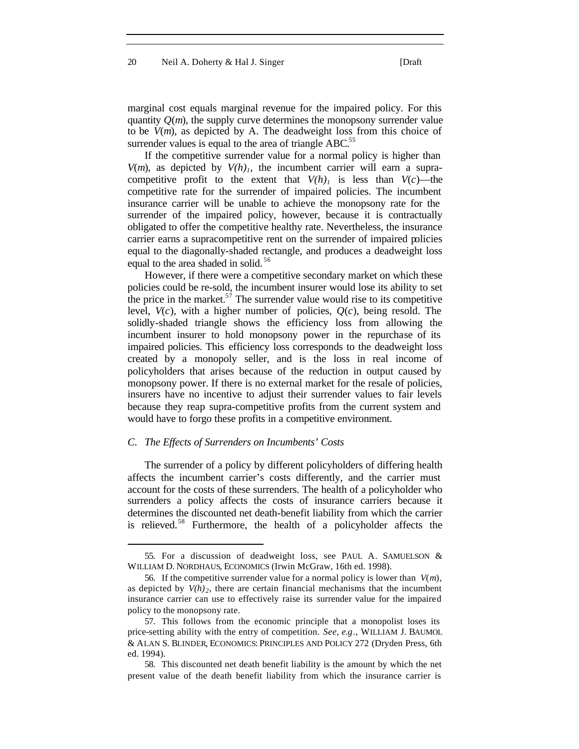20 Neil A. Doherty & Hal J. Singer [Draft]

marginal cost equals marginal revenue for the impaired policy. For this quantity  $Q(m)$ , the supply curve determines the monopsony surrender value to be *V*(*m*), as depicted by A. The deadweight loss from this choice of surrender values is equal to the area of triangle  $ABC$ <sup>55</sup>.

If the competitive surrender value for a normal policy is higher than *V(m)*, as depicted by  $V(h)$ <sup>1</sup>, the incumbent carrier will earn a supracompetitive profit to the extent that  $V(h)$ <sup>*I*</sup> is less than  $V(c)$ —the competitive rate for the surrender of impaired policies. The incumbent insurance carrier will be unable to achieve the monopsony rate for the surrender of the impaired policy, however, because it is contractually obligated to offer the competitive healthy rate. Nevertheless, the insurance carrier earns a supracompetitive rent on the surrender of impaired policies equal to the diagonally-shaded rectangle, and produces a deadweight loss equal to the area shaded in solid.<sup>56</sup>

However, if there were a competitive secondary market on which these policies could be re-sold, the incumbent insurer would lose its ability to set the price in the market. $57$  The surrender value would rise to its competitive level,  $V(c)$ , with a higher number of policies,  $Q(c)$ , being resold. The solidly-shaded triangle shows the efficiency loss from allowing the incumbent insurer to hold monopsony power in the repurchase of its impaired policies. This efficiency loss corresponds to the deadweight loss created by a monopoly seller, and is the loss in real income of policyholders that arises because of the reduction in output caused by monopsony power. If there is no external market for the resale of policies, insurers have no incentive to adjust their surrender values to fair levels because they reap supra-competitive profits from the current system and would have to forgo these profits in a competitive environment.

#### *C. The Effects of Surrenders on Incumbents' Costs*

 $\overline{\phantom{a}}$ 

The surrender of a policy by different policyholders of differing health affects the incumbent carrier's costs differently, and the carrier must account for the costs of these surrenders. The health of a policyholder who surrenders a policy affects the costs of insurance carriers because it determines the discounted net death-benefit liability from which the carrier is relieved.<sup>58</sup> Furthermore, the health of a policyholder affects the

<sup>55.</sup> For a discussion of deadweight loss, see PAUL A. SAMUELSON & WILLIAM D. NORDHAUS, ECONOMICS (Irwin McGraw, 16th ed. 1998).

<sup>56.</sup> If the competitive surrender value for a normal policy is lower than  $V(m)$ , as depicted by  $V(h)$ <sub>2</sub>, there are certain financial mechanisms that the incumbent insurance carrier can use to effectively raise its surrender value for the impaired policy to the monopsony rate.

<sup>57.</sup> This follows from the economic principle that a monopolist loses its price-setting ability with the entry of competition. *See*, *e.g*., WILLIAM J. BAUMOL & ALAN S. BLINDER, ECONOMICS: PRINCIPLES AND POLICY 272 (Dryden Press, 6th ed. 1994).

<sup>58.</sup> This discounted net death benefit liability is the amount by which the net present value of the death benefit liability from which the insurance carrier is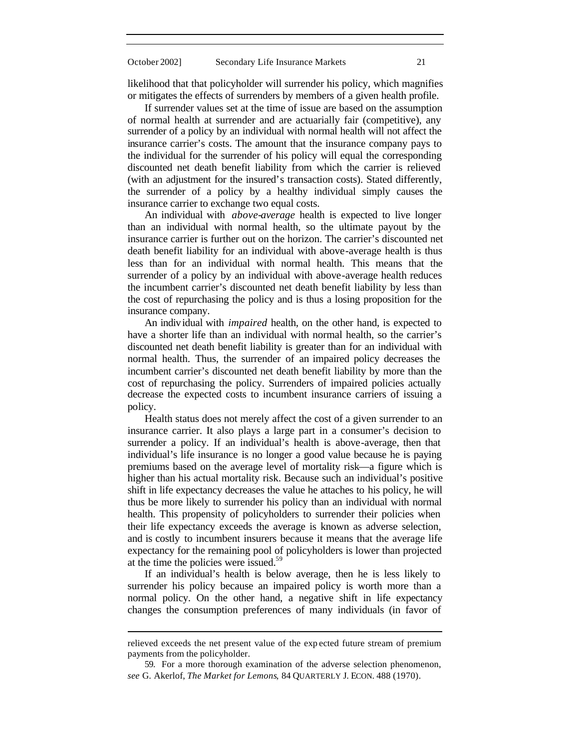likelihood that that policyholder will surrender his policy, which magnifies or mitigates the effects of surrenders by members of a given health profile.

If surrender values set at the time of issue are based on the assumption of normal health at surrender and are actuarially fair (competitive), any surrender of a policy by an individual with normal health will not affect the insurance carrier's costs. The amount that the insurance company pays to the individual for the surrender of his policy will equal the corresponding discounted net death benefit liability from which the carrier is relieved (with an adjustment for the insured's transaction costs). Stated differently, the surrender of a policy by a healthy individual simply causes the insurance carrier to exchange two equal costs.

An individual with *above-average* health is expected to live longer than an individual with normal health, so the ultimate payout by the insurance carrier is further out on the horizon. The carrier's discounted net death benefit liability for an individual with above-average health is thus less than for an individual with normal health. This means that the surrender of a policy by an individual with above-average health reduces the incumbent carrier's discounted net death benefit liability by less than the cost of repurchasing the policy and is thus a losing proposition for the insurance company.

An individual with *impaired* health, on the other hand, is expected to have a shorter life than an individual with normal health, so the carrier's discounted net death benefit liability is greater than for an individual with normal health. Thus, the surrender of an impaired policy decreases the incumbent carrier's discounted net death benefit liability by more than the cost of repurchasing the policy. Surrenders of impaired policies actually decrease the expected costs to incumbent insurance carriers of issuing a policy.

Health status does not merely affect the cost of a given surrender to an insurance carrier. It also plays a large part in a consumer's decision to surrender a policy. If an individual's health is above-average, then that individual's life insurance is no longer a good value because he is paying premiums based on the average level of mortality risk—a figure which is higher than his actual mortality risk. Because such an individual's positive shift in life expectancy decreases the value he attaches to his policy, he will thus be more likely to surrender his policy than an individual with normal health. This propensity of policyholders to surrender their policies when their life expectancy exceeds the average is known as adverse selection, and is costly to incumbent insurers because it means that the average life expectancy for the remaining pool of policyholders is lower than projected at the time the policies were issued.<sup>59</sup>

If an individual's health is below average, then he is less likely to surrender his policy because an impaired policy is worth more than a normal policy. On the other hand, a negative shift in life expectancy changes the consumption preferences of many individuals (in favor of

relieved exceeds the net present value of the exp ected future stream of premium payments from the policyholder.

<sup>59.</sup> For a more thorough examination of the adverse selection phenomenon, *see* G. Akerlof, *The Market for Lemons*, 84 QUARTERLY J. ECON. 488 (1970).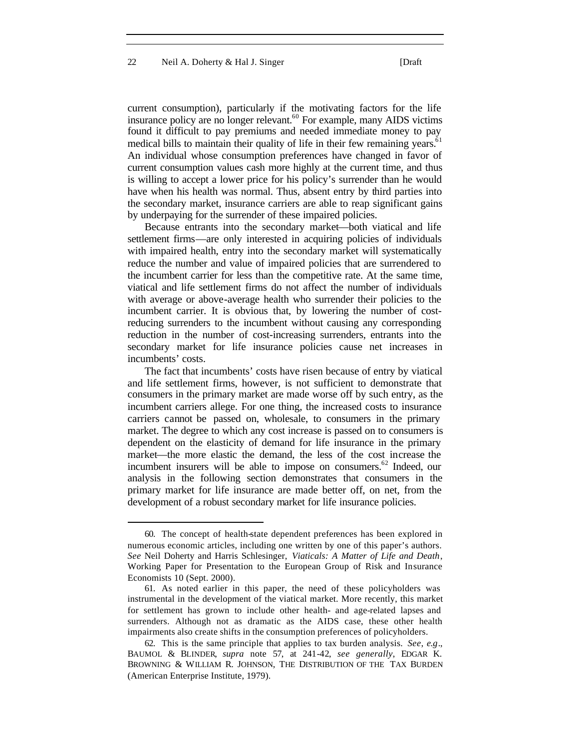current consumption), particularly if the motivating factors for the life insurance policy are no longer relevant.<sup>60</sup> For example, many AIDS victims found it difficult to pay premiums and needed immediate money to pay medical bills to maintain their quality of life in their few remaining years.<sup>61</sup> An individual whose consumption preferences have changed in favor of current consumption values cash more highly at the current time, and thus is willing to accept a lower price for his policy's surrender than he would have when his health was normal. Thus, absent entry by third parties into the secondary market, insurance carriers are able to reap significant gains by underpaying for the surrender of these impaired policies.

Because entrants into the secondary market—both viatical and life settlement firms—are only interested in acquiring policies of individuals with impaired health, entry into the secondary market will systematically reduce the number and value of impaired policies that are surrendered to the incumbent carrier for less than the competitive rate. At the same time, viatical and life settlement firms do not affect the number of individuals with average or above-average health who surrender their policies to the incumbent carrier. It is obvious that, by lowering the number of costreducing surrenders to the incumbent without causing any corresponding reduction in the number of cost-increasing surrenders, entrants into the secondary market for life insurance policies cause net increases in incumbents' costs.

The fact that incumbents' costs have risen because of entry by viatical and life settlement firms, however, is not sufficient to demonstrate that consumers in the primary market are made worse off by such entry, as the incumbent carriers allege. For one thing, the increased costs to insurance carriers cannot be passed on, wholesale, to consumers in the primary market. The degree to which any cost increase is passed on to consumers is dependent on the elasticity of demand for life insurance in the primary market—the more elastic the demand, the less of the cost increase the incumbent insurers will be able to impose on consumers.<sup>62</sup> Indeed, our analysis in the following section demonstrates that consumers in the primary market for life insurance are made better off, on net, from the development of a robust secondary market for life insurance policies.

<sup>60.</sup> The concept of health-state dependent preferences has been explored in numerous economic articles, including one written by one of this paper's authors. *See* Neil Doherty and Harris Schlesinger, *Viaticals: A Matter of Life and Death*, Working Paper for Presentation to the European Group of Risk and Insurance Economists 10 (Sept. 2000).

<sup>61.</sup> As noted earlier in this paper, the need of these policyholders was instrumental in the development of the viatical market. More recently, this market for settlement has grown to include other health- and age-related lapses and surrenders. Although not as dramatic as the AIDS case, these other health impairments also create shifts in the consumption preferences of policyholders.

<sup>62.</sup> This is the same principle that applies to tax burden analysis. *See*, *e.g*., BAUMOL & BLINDER, *supra* note 57, at 241-42, *see generally*, EDGAR K. BROWNING & WILLIAM R. JOHNSON, THE DISTRIBUTION OF THE TAX BURDEN (American Enterprise Institute, 1979).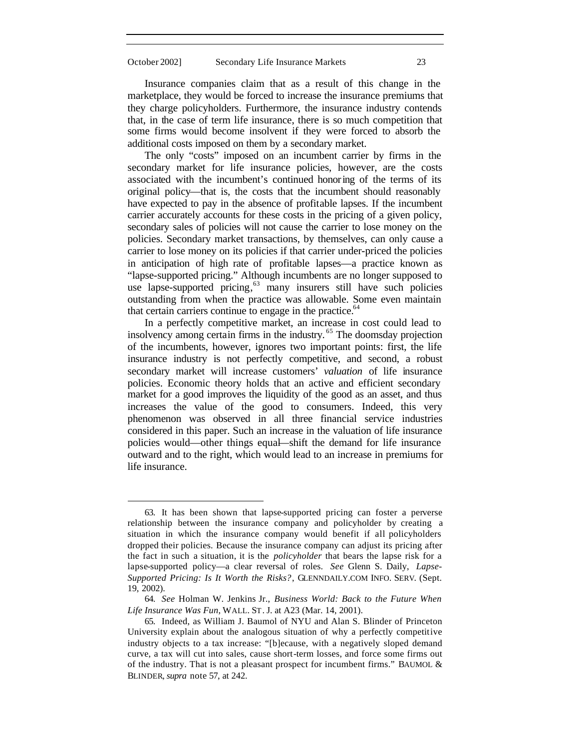Insurance companies claim that as a result of this change in the marketplace, they would be forced to increase the insurance premiums that they charge policyholders. Furthermore, the insurance industry contends that, in the case of term life insurance, there is so much competition that some firms would become insolvent if they were forced to absorb the additional costs imposed on them by a secondary market.

The only "costs" imposed on an incumbent carrier by firms in the secondary market for life insurance policies, however, are the costs associated with the incumbent's continued honoring of the terms of its original policy—that is, the costs that the incumbent should reasonably have expected to pay in the absence of profitable lapses. If the incumbent carrier accurately accounts for these costs in the pricing of a given policy, secondary sales of policies will not cause the carrier to lose money on the policies. Secondary market transactions, by themselves, can only cause a carrier to lose money on its policies if that carrier under-priced the policies in anticipation of high rate of profitable lapses—a practice known as "lapse-supported pricing." Although incumbents are no longer supposed to use lapse-supported pricing,<sup>63</sup> many insurers still have such policies outstanding from when the practice was allowable. Some even maintain that certain carriers continue to engage in the practice. $64$ 

In a perfectly competitive market, an increase in cost could lead to insolvency among certain firms in the industry. <sup>65</sup> The doomsday projection of the incumbents, however, ignores two important points: first, the life insurance industry is not perfectly competitive, and second, a robust secondary market will increase customers' *valuation* of life insurance policies. Economic theory holds that an active and efficient secondary market for a good improves the liquidity of the good as an asset, and thus increases the value of the good to consumers. Indeed, this very phenomenon was observed in all three financial service industries considered in this paper. Such an increase in the valuation of life insurance policies would—other things equal—shift the demand for life insurance outward and to the right, which would lead to an increase in premiums for life insurance.

<sup>63.</sup> It has been shown that lapse-supported pricing can foster a perverse relationship between the insurance company and policyholder by creating a situation in which the insurance company would benefit if all policyholders dropped their policies. Because the insurance company can adjust its pricing after the fact in such a situation, it is the *policyholder* that bears the lapse risk for a lapse-supported policy—a clear reversal of roles. *See* Glenn S. Daily, *Lapse-Supported Pricing: Is It Worth the Risks?*, GLENNDAILY.COM INFO. SERV. (Sept. 19, 2002).

<sup>64.</sup> *See* Holman W. Jenkins Jr., *Business World: Back to the Future When Life Insurance Was Fun*, WALL. ST. J. at A23 (Mar. 14, 2001).

<sup>65.</sup> Indeed, as William J. Baumol of NYU and Alan S. Blinder of Princeton University explain about the analogous situation of why a perfectly competitive industry objects to a tax increase: "[b]ecause, with a negatively sloped demand curve, a tax will cut into sales, cause short-term losses, and force some firms out of the industry. That is not a pleasant prospect for incumbent firms." BAUMOL & BLINDER, *supra* note 57, at 242.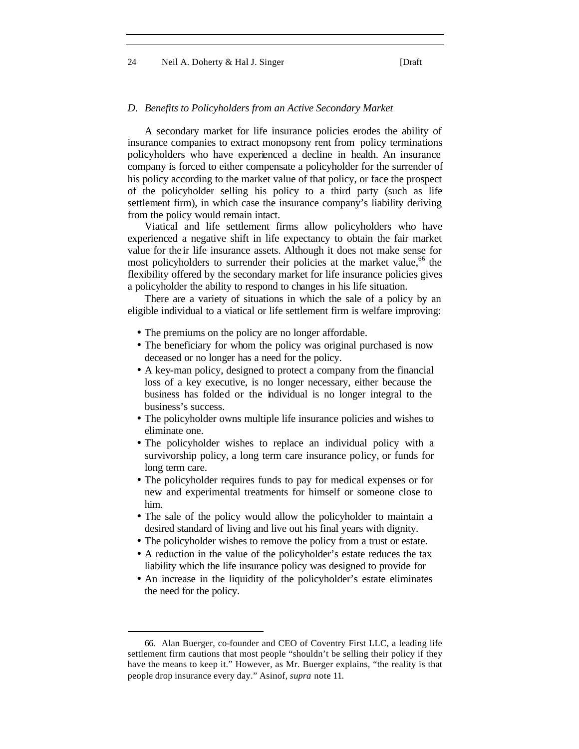#### 24 Neil A. Doherty & Hal J. Singer [Draft]

#### *D. Benefits to Policyholders from an Active Secondary Market*

A secondary market for life insurance policies erodes the ability of insurance companies to extract monopsony rent from policy terminations policyholders who have experienced a decline in health. An insurance company is forced to either compensate a policyholder for the surrender of his policy according to the market value of that policy, or face the prospect of the policyholder selling his policy to a third party (such as life settlement firm), in which case the insurance company's liability deriving from the policy would remain intact.

Viatical and life settlement firms allow policyholders who have experienced a negative shift in life expectancy to obtain the fair market value for the ir life insurance assets. Although it does not make sense for most policyholders to surrender their policies at the market value,<sup>66</sup> the flexibility offered by the secondary market for life insurance policies gives a policyholder the ability to respond to changes in his life situation.

There are a variety of situations in which the sale of a policy by an eligible individual to a viatical or life settlement firm is welfare improving:

- The premiums on the policy are no longer affordable.
- The beneficiary for whom the policy was original purchased is now deceased or no longer has a need for the policy.
- A key-man policy, designed to protect a company from the financial loss of a key executive, is no longer necessary, either because the business has folded or the individual is no longer integral to the business's success.
- The policyholder owns multiple life insurance policies and wishes to eliminate one.
- The policyholder wishes to replace an individual policy with a survivorship policy, a long term care insurance policy, or funds for long term care.
- The policyholder requires funds to pay for medical expenses or for new and experimental treatments for himself or someone close to him.
- The sale of the policy would allow the policyholder to maintain a desired standard of living and live out his final years with dignity.
- The policyholder wishes to remove the policy from a trust or estate.
- A reduction in the value of the policyholder's estate reduces the tax liability which the life insurance policy was designed to provide for
- An increase in the liquidity of the policyholder's estate eliminates the need for the policy.

<sup>66.</sup> Alan Buerger, co-founder and CEO of Coventry First LLC, a leading life settlement firm cautions that most people "shouldn't be selling their policy if they have the means to keep it." However, as Mr. Buerger explains, "the reality is that people drop insurance every day." Asinof, *supra* note 11.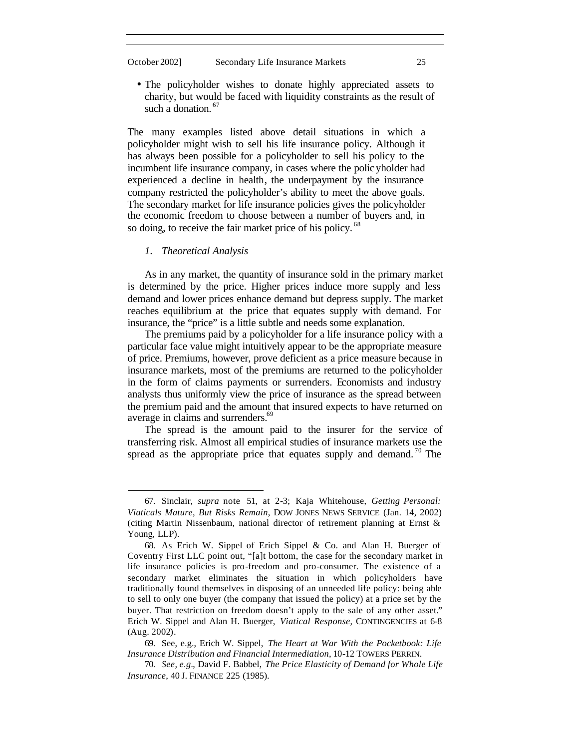l

• The policyholder wishes to donate highly appreciated assets to charity, but would be faced with liquidity constraints as the result of such a donation.<sup>67</sup>

The many examples listed above detail situations in which a policyholder might wish to sell his life insurance policy. Although it has always been possible for a policyholder to sell his policy to the incumbent life insurance company, in cases where the policyholder had experienced a decline in health, the underpayment by the insurance company restricted the policyholder's ability to meet the above goals. The secondary market for life insurance policies gives the policyholder the economic freedom to choose between a number of buyers and, in so doing, to receive the fair market price of his policy.<sup>68</sup>

*1. Theoretical Analysis*

As in any market, the quantity of insurance sold in the primary market is determined by the price. Higher prices induce more supply and less demand and lower prices enhance demand but depress supply. The market reaches equilibrium at the price that equates supply with demand. For insurance, the "price" is a little subtle and needs some explanation.

The premiums paid by a policyholder for a life insurance policy with a particular face value might intuitively appear to be the appropriate measure of price. Premiums, however, prove deficient as a price measure because in insurance markets, most of the premiums are returned to the policyholder in the form of claims payments or surrenders. Economists and industry analysts thus uniformly view the price of insurance as the spread between the premium paid and the amount that insured expects to have returned on average in claims and surrenders.<sup>69</sup>

The spread is the amount paid to the insurer for the service of transferring risk. Almost all empirical studies of insurance markets use the spread as the appropriate price that equates supply and demand.<sup>70</sup> The

<sup>67.</sup> Sinclair, *supra* note 51, at 2-3; Kaja Whitehouse, *Getting Personal: Viaticals Mature, But Risks Remain*, DOW JONES NEWS SERVICE (Jan. 14, 2002) (citing Martin Nissenbaum, national director of retirement planning at Ernst & Young, LLP).

<sup>68.</sup> As Erich W. Sippel of Erich Sippel & Co. and Alan H. Buerger of Coventry First LLC point out, "[a]t bottom, the case for the secondary market in life insurance policies is pro-freedom and pro-consumer. The existence of a secondary market eliminates the situation in which policyholders have traditionally found themselves in disposing of an unneeded life policy: being able to sell to only one buyer (the company that issued the policy) at a price set by the buyer. That restriction on freedom doesn't apply to the sale of any other asset." Erich W. Sippel and Alan H. Buerger, *Viatical Response*, CONTINGENCIES at 6-8 (Aug. 2002).

<sup>69.</sup> See, e.g., Erich W. Sippel, *The Heart at War With the Pocketbook: Life Insurance Distribution and Financial Intermediation*, 10-12 TOWERS PERRIN.

<sup>70.</sup> *See, e.g.*, David F. Babbel, *The Price Elasticity of Demand for Whole Life Insurance*, 40 J. FINANCE 225 (1985).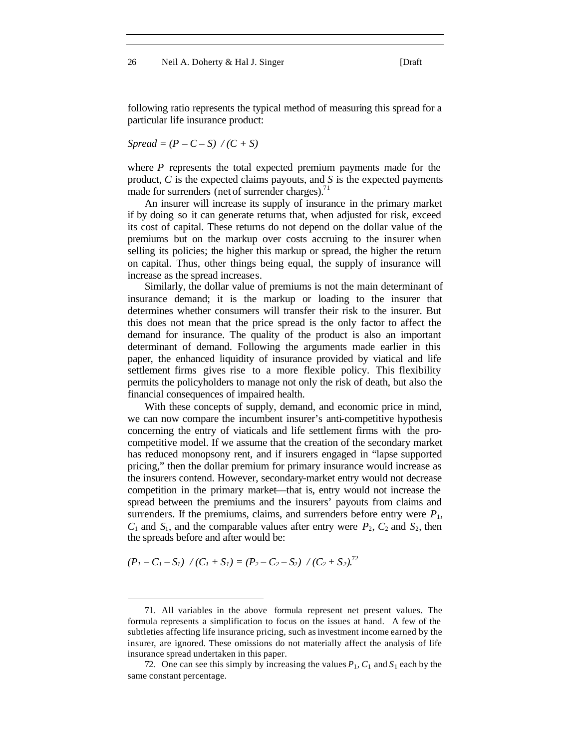following ratio represents the typical method of measuring this spread for a particular life insurance product:

*Spread* =  $(P - C - S)$  /  $(C + S)$ 

where *P* represents the total expected premium payments made for the product, *C* is the expected claims payouts, and *S* is the expected payments made for surrenders (net of surrender charges). $71$ 

An insurer will increase its supply of insurance in the primary market if by doing so it can generate returns that, when adjusted for risk, exceed its cost of capital. These returns do not depend on the dollar value of the premiums but on the markup over costs accruing to the insurer when selling its policies; the higher this markup or spread, the higher the return on capital. Thus, other things being equal, the supply of insurance will increase as the spread increases.

Similarly, the dollar value of premiums is not the main determinant of insurance demand; it is the markup or loading to the insurer that determines whether consumers will transfer their risk to the insurer. But this does not mean that the price spread is the only factor to affect the demand for insurance. The quality of the product is also an important determinant of demand. Following the arguments made earlier in this paper, the enhanced liquidity of insurance provided by viatical and life settlement firms gives rise to a more flexible policy. This flexibility permits the policyholders to manage not only the risk of death, but also the financial consequences of impaired health.

With these concepts of supply, demand, and economic price in mind, we can now compare the incumbent insurer's anti-competitive hypothesis concerning the entry of viaticals and life settlement firms with the procompetitive model. If we assume that the creation of the secondary market has reduced monopsony rent, and if insurers engaged in "lapse supported pricing," then the dollar premium for primary insurance would increase as the insurers contend. However, secondary-market entry would not decrease competition in the primary market—that is, entry would not increase the spread between the premiums and the insurers' payouts from claims and surrenders. If the premiums, claims, and surrenders before entry were  $P_1$ ,  $C_1$  and  $S_1$ , and the comparable values after entry were  $P_2$ ,  $C_2$  and  $S_2$ , then the spreads before and after would be:

$$
(P_1 - C_1 - S_1) / (C_1 + S_1) = (P_2 - C_2 - S_2) / (C_2 + S_2)^{72}
$$

<sup>71.</sup> All variables in the above formula represent net present values. The formula represents a simplification to focus on the issues at hand. A few of the subtleties affecting life insurance pricing, such as investment income earned by the insurer, are ignored. These omissions do not materially affect the analysis of life insurance spread undertaken in this paper.

<sup>72.</sup> One can see this simply by increasing the values  $P_1$ ,  $C_1$  and  $S_1$  each by the same constant percentage.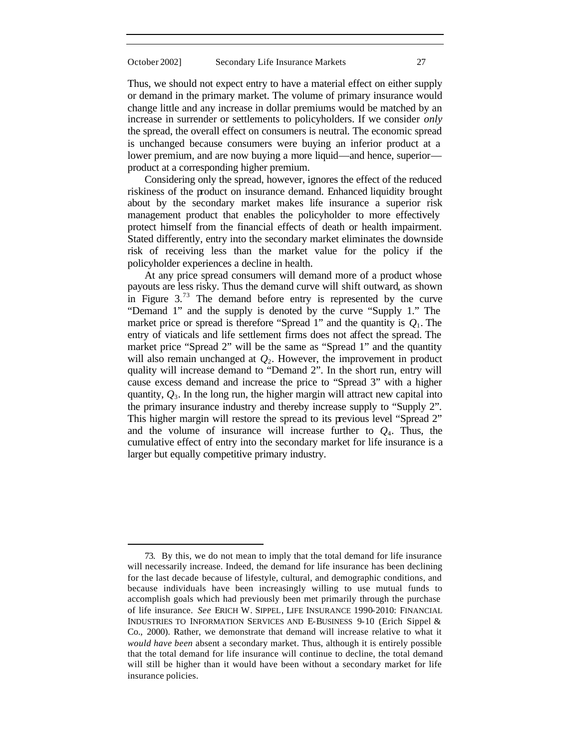Thus, we should not expect entry to have a material effect on either supply or demand in the primary market. The volume of primary insurance would change little and any increase in dollar premiums would be matched by an increase in surrender or settlements to policyholders. If we consider *only* the spread, the overall effect on consumers is neutral. The economic spread is unchanged because consumers were buying an inferior product at a lower premium, and are now buying a more liquid—and hence, superior product at a corresponding higher premium.

Considering only the spread, however, ignores the effect of the reduced riskiness of the product on insurance demand. Enhanced liquidity brought about by the secondary market makes life insurance a superior risk management product that enables the policyholder to more effectively protect himself from the financial effects of death or health impairment. Stated differently, entry into the secondary market eliminates the downside risk of receiving less than the market value for the policy if the policyholder experiences a decline in health.

At any price spread consumers will demand more of a product whose payouts are less risky. Thus the demand curve will shift outward, as shown in Figure  $3.^{73}$  The demand before entry is represented by the curve "Demand 1" and the supply is denoted by the curve "Supply 1." The market price or spread is therefore "Spread 1" and the quantity is  $Q_1$ . The entry of viaticals and life settlement firms does not affect the spread. The market price "Spread 2" will be the same as "Spread 1" and the quantity will also remain unchanged at *Q*2. However, the improvement in product quality will increase demand to "Demand 2". In the short run, entry will cause excess demand and increase the price to "Spread 3" with a higher quantity, *Q*3. In the long run, the higher margin will attract new capital into the primary insurance industry and thereby increase supply to "Supply 2". This higher margin will restore the spread to its previous level "Spread 2" and the volume of insurance will increase further to  $Q<sub>4</sub>$ . Thus, the cumulative effect of entry into the secondary market for life insurance is a larger but equally competitive primary industry.

<sup>73.</sup> By this, we do not mean to imply that the total demand for life insurance will necessarily increase. Indeed, the demand for life insurance has been declining for the last decade because of lifestyle, cultural, and demographic conditions, and because individuals have been increasingly willing to use mutual funds to accomplish goals which had previously been met primarily through the purchase of life insurance. *See* ERICH W. SIPPEL, LIFE INSURANCE 1990-2010: FINANCIAL INDUSTRIES TO INFORMATION SERVICES AND E-BUSINESS 9-10 (Erich Sippel & Co., 2000). Rather, we demonstrate that demand will increase relative to what it *would have been* absent a secondary market. Thus, although it is entirely possible that the total demand for life insurance will continue to decline, the total demand will still be higher than it would have been without a secondary market for life insurance policies.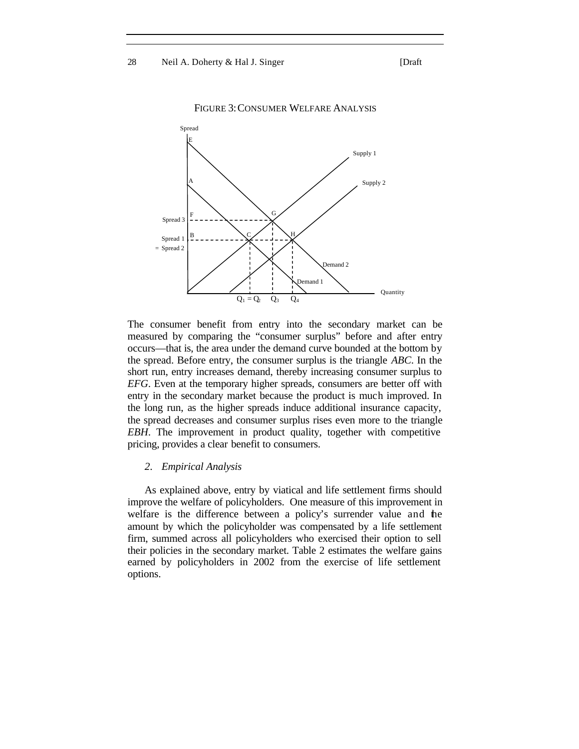28 Neil A. Doherty & Hal J. Singer [Draft]

Spread  $Q<sub>4</sub>$ Quantity Supply 1 Spread 3  $Q_1 = Q_2$   $Q_3$ Supply 2 emand 2 Demand 1 Spread 1  $=$  Spread 2 A B  $F \qquad \qquad \bigwedge$  G E  $C \diagup H$ 

FIGURE 3:CONSUMER WELFARE ANALYSIS

The consumer benefit from entry into the secondary market can be measured by comparing the "consumer surplus" before and after entry occurs—that is, the area under the demand curve bounded at the bottom by the spread. Before entry, the consumer surplus is the triangle *ABC*. In the short run, entry increases demand, thereby increasing consumer surplus to *EFG*. Even at the temporary higher spreads, consumers are better off with entry in the secondary market because the product is much improved. In the long run, as the higher spreads induce additional insurance capacity, the spread decreases and consumer surplus rises even more to the triangle *EBH*. The improvement in product quality, together with competitive pricing, provides a clear benefit to consumers.

#### *2. Empirical Analysis*

As explained above, entry by viatical and life settlement firms should improve the welfare of policyholders. One measure of this improvement in welfare is the difference between a policy's surrender value and the amount by which the policyholder was compensated by a life settlement firm, summed across all policyholders who exercised their option to sell their policies in the secondary market. Table 2 estimates the welfare gains earned by policyholders in 2002 from the exercise of life settlement options.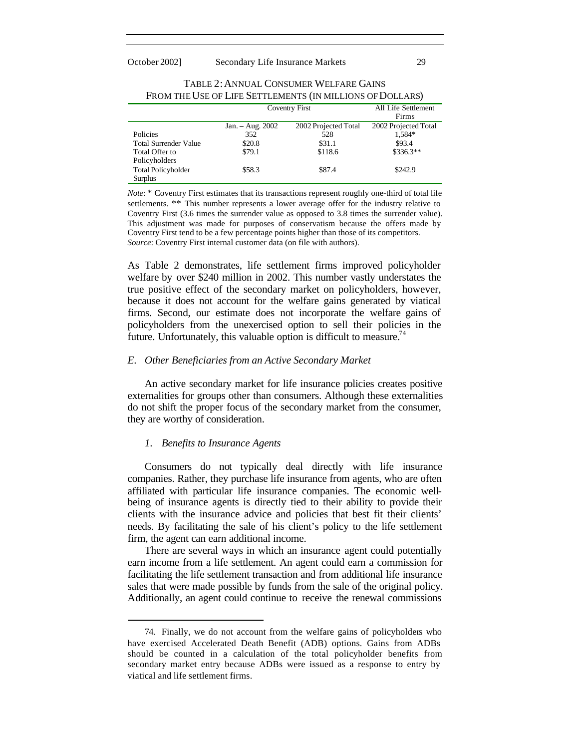|                              | Coventry First   |                      | All Life Settlement  |
|------------------------------|------------------|----------------------|----------------------|
|                              |                  |                      | Firms                |
|                              | Jan. - Aug. 2002 | 2002 Projected Total | 2002 Projected Total |
| Policies                     | 352              | 528                  | 1,584*               |
| <b>Total Surrender Value</b> | \$20.8           | \$31.1               | \$93.4               |
| Total Offer to               | \$79.1           | \$118.6              | $$336.3**$           |
| Policyholders                |                  |                      |                      |
| <b>Total Policyholder</b>    | \$58.3           | \$87.4               | \$242.9              |
| Surplus                      |                  |                      |                      |

| TABLE 2: ANNUAL CONSUMER WELFARE GAINS                    |
|-----------------------------------------------------------|
| FROM THE USE OF LIFE SETTLEMENTS (IN MILLIONS OF DOLLARS) |

*Note*: \* Coventry First estimates that its transactions represent roughly one-third of total life settlements. \*\* This number represents a lower average offer for the industry relative to Coventry First (3.6 times the surrender value as opposed to 3.8 times the surrender value). This adjustment was made for purposes of conservatism because the offers made by Coventry First tend to be a few percentage points higher than those of its competitors. *Source*: Coventry First internal customer data (on file with authors).

As Table 2 demonstrates, life settlement firms improved policyholder welfare by over \$240 million in 2002. This number vastly understates the true positive effect of the secondary market on policyholders, however, because it does not account for the welfare gains generated by viatical firms. Second, our estimate does not incorporate the welfare gains of policyholders from the unexercised option to sell their policies in the future. Unfortunately, this valuable option is difficult to measure.<sup>74</sup>

#### *E. Other Beneficiaries from an Active Secondary Market*

An active secondary market for life insurance policies creates positive externalities for groups other than consumers. Although these externalities do not shift the proper focus of the secondary market from the consumer, they are worthy of consideration.

#### *1. Benefits to Insurance Agents*

l

Consumers do not typically deal directly with life insurance companies. Rather, they purchase life insurance from agents, who are often affiliated with particular life insurance companies. The economic wellbeing of insurance agents is directly tied to their ability to provide their clients with the insurance advice and policies that best fit their clients' needs. By facilitating the sale of his client's policy to the life settlement firm, the agent can earn additional income.

There are several ways in which an insurance agent could potentially earn income from a life settlement. An agent could earn a commission for facilitating the life settlement transaction and from additional life insurance sales that were made possible by funds from the sale of the original policy. Additionally, an agent could continue to receive the renewal commissions

<sup>74.</sup> Finally, we do not account from the welfare gains of policyholders who have exercised Accelerated Death Benefit (ADB) options. Gains from ADBs should be counted in a calculation of the total policyholder benefits from secondary market entry because ADBs were issued as a response to entry by viatical and life settlement firms.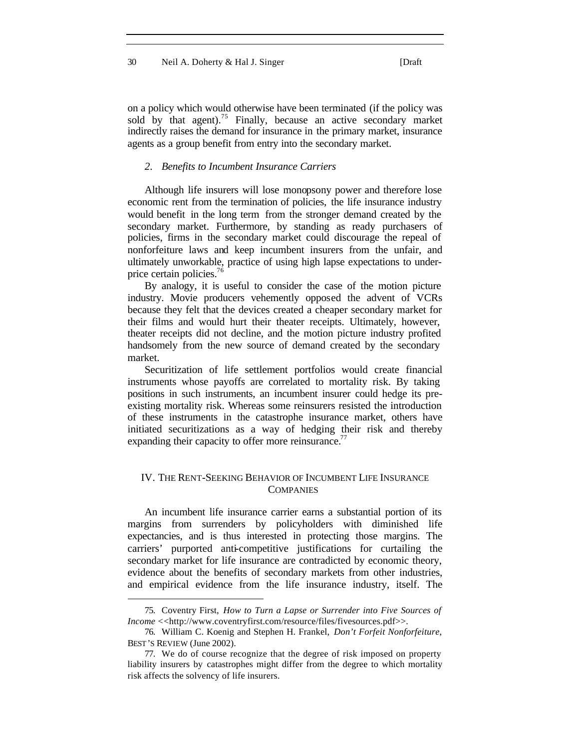on a policy which would otherwise have been terminated (if the policy was sold by that agent).<sup>75</sup> Finally, because an active secondary market indirectly raises the demand for insurance in the primary market, insurance agents as a group benefit from entry into the secondary market.

#### *2. Benefits to Incumbent Insurance Carriers*

Although life insurers will lose monopsony power and therefore lose economic rent from the termination of policies, the life insurance industry would benefit in the long term from the stronger demand created by the secondary market. Furthermore, by standing as ready purchasers of policies, firms in the secondary market could discourage the repeal of nonforfeiture laws and keep incumbent insurers from the unfair, and ultimately unworkable, practice of using high lapse expectations to underprice certain policies.<sup>76</sup>

By analogy, it is useful to consider the case of the motion picture industry. Movie producers vehemently opposed the advent of VCRs because they felt that the devices created a cheaper secondary market for their films and would hurt their theater receipts. Ultimately, however, theater receipts did not decline, and the motion picture industry profited handsomely from the new source of demand created by the secondary market.

Securitization of life settlement portfolios would create financial instruments whose payoffs are correlated to mortality risk. By taking positions in such instruments, an incumbent insurer could hedge its preexisting mortality risk. Whereas some reinsurers resisted the introduction of these instruments in the catastrophe insurance market, others have initiated securitizations as a way of hedging their risk and thereby expanding their capacity to offer more reinsurance.<sup>77</sup>

#### IV. THE RENT-SEEKING BEHAVIOR OF INCUMBENT LIFE INSURANCE **COMPANIES**

An incumbent life insurance carrier earns a substantial portion of its margins from surrenders by policyholders with diminished life expectancies, and is thus interested in protecting those margins. The carriers' purported anti-competitive justifications for curtailing the secondary market for life insurance are contradicted by economic theory, evidence about the benefits of secondary markets from other industries, and empirical evidence from the life insurance industry, itself. The

<sup>75.</sup> Coventry First, *How to Turn a Lapse or Surrender into Five Sources of Income* <<http://www.coventryfirst.com/resource/files/fivesources.pdf>>.

<sup>76.</sup> William C. Koenig and Stephen H. Frankel, *Don't Forfeit Nonforfeiture*, BEST'S REVIEW (June 2002).

<sup>77.</sup> We do of course recognize that the degree of risk imposed on property liability insurers by catastrophes might differ from the degree to which mortality risk affects the solvency of life insurers.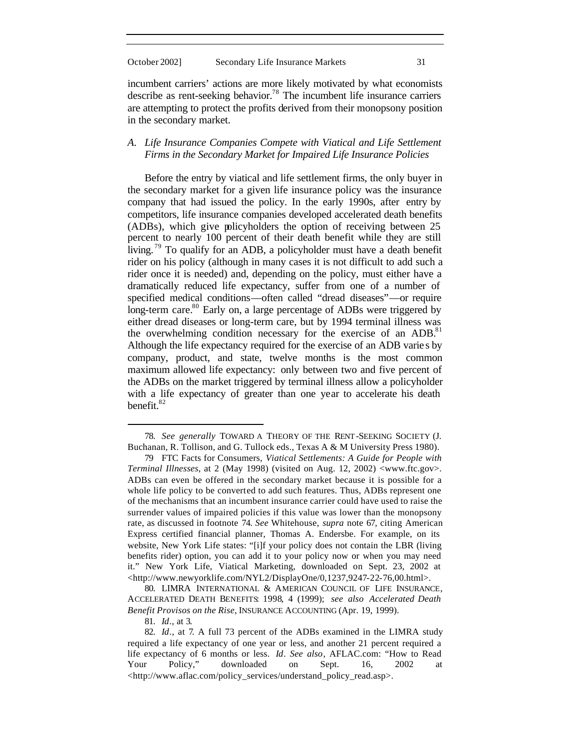incumbent carriers' actions are more likely motivated by what economists describe as rent-seeking behavior.<sup>78</sup> The incumbent life insurance carriers are attempting to protect the profits derived from their monopsony position in the secondary market.

#### *A. Life Insurance Companies Compete with Viatical and Life Settlement Firms in the Secondary Market for Impaired Life Insurance Policies*

Before the entry by viatical and life settlement firms, the only buyer in the secondary market for a given life insurance policy was the insurance company that had issued the policy. In the early 1990s, after entry by competitors, life insurance companies developed accelerated death benefits (ADBs), which give policyholders the option of receiving between 25 percent to nearly 100 percent of their death benefit while they are still living.<sup>79</sup> To qualify for an ADB, a policyholder must have a death benefit rider on his policy (although in many cases it is not difficult to add such a rider once it is needed) and, depending on the policy, must either have a dramatically reduced life expectancy, suffer from one of a number of specified medical conditions—often called "dread diseases"—or require long-term care.<sup>80</sup> Early on, a large percentage of ADBs were triggered by either dread diseases or long-term care, but by 1994 terminal illness was the overwhelming condition necessary for the exercise of an ADB.<sup>81</sup> Although the life expectancy required for the exercise of an ADB varie s by company, product, and state, twelve months is the most common maximum allowed life expectancy: only between two and five percent of the ADBs on the market triggered by terminal illness allow a policyholder with a life expectancy of greater than one year to accelerate his death benefit.<sup>82</sup>

80. LIMRA INTERNATIONAL & AMERICAN COUNCIL OF LIFE INSURANCE, ACCELERATED DEATH BENEFITS: 1998, 4 (1999); *see also Accelerated Death Benefit Provisos on the Rise*, INSURANCE ACCOUNTING (Apr. 19, 1999).

81. *Id*., at 3.

<sup>78.</sup> *See generally* TOWARD A THEORY OF THE RENT-SEEKING SOCIETY (J. Buchanan, R. Tollison, and G. Tullock eds., Texas A & M University Press 1980).

<sup>79</sup> FTC Facts for Consumers, *Viatical Settlements: A Guide for People with Terminal Illnesses*, at 2 (May 1998) (visited on Aug. 12, 2002) <www.ftc.gov>. ADBs can even be offered in the secondary market because it is possible for a whole life policy to be converted to add such features. Thus, ADBs represent one of the mechanisms that an incumbent insurance carrier could have used to raise the surrender values of impaired policies if this value was lower than the monopsony rate, as discussed in footnote 74. *See* Whitehouse, *supra* note 67, citing American Express certified financial planner, Thomas A. Endersbe. For example, on its website, New York Life states: "[i]f your policy does not contain the LBR (living benefits rider) option, you can add it to your policy now or when you may need it." New York Life, Viatical Marketing, downloaded on Sept. 23, 2002 at <http://www.newyorklife.com/NYL2/DisplayOne/0,1237,9247-22-76,00.html>.

<sup>82.</sup> *Id*., at 7. A full 73 percent of the ADBs examined in the LIMRA study required a life expectancy of one year or less, and another 21 percent required a life expectancy of 6 months or less. *Id*. *See also*, AFLAC.com: "How to Read Your Policy," downloaded on Sept. 16, 2002 at <http://www.aflac.com/policy\_services/understand\_policy\_read.asp>.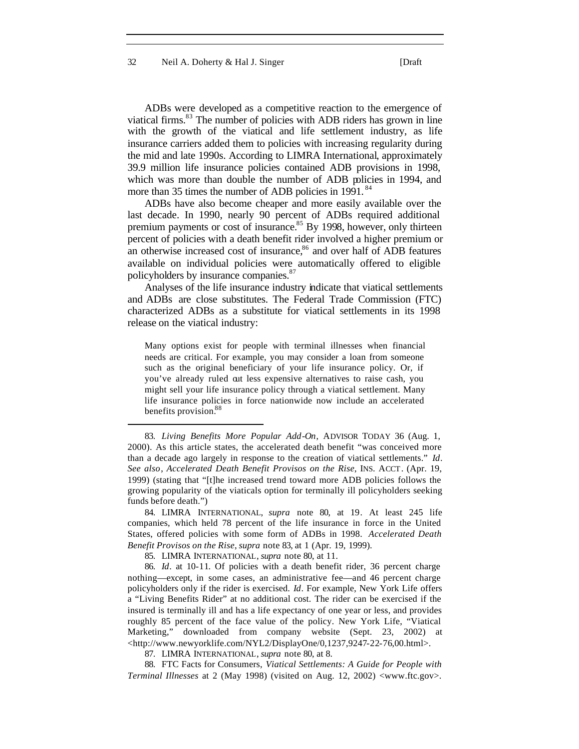32 Neil A. Doherty & Hal J. Singer [Draft

ADBs were developed as a competitive reaction to the emergence of viatical firms.<sup>83</sup> The number of policies with ADB riders has grown in line with the growth of the viatical and life settlement industry, as life insurance carriers added them to policies with increasing regularity during the mid and late 1990s. According to LIMRA International, approximately 39.9 million life insurance policies contained ADB provisions in 1998, which was more than double the number of ADB policies in 1994, and more than 35 times the number of ADB policies in 1991.<sup>84</sup>

ADBs have also become cheaper and more easily available over the last decade. In 1990, nearly 90 percent of ADBs required additional premium payments or cost of insurance.<sup>85</sup> By 1998, however, only thirteen percent of policies with a death benefit rider involved a higher premium or an otherwise increased cost of insurance, $86$  and over half of ADB features available on individual policies were automatically offered to eligible policyholders by insurance companies.<sup>87</sup>

Analyses of the life insurance industry indicate that viatical settlements and ADBs are close substitutes. The Federal Trade Commission (FTC) characterized ADBs as a substitute for viatical settlements in its 1998 release on the viatical industry:

Many options exist for people with terminal illnesses when financial needs are critical. For example, you may consider a loan from someone such as the original beneficiary of your life insurance policy. Or, if you've already ruled out less expensive alternatives to raise cash, you might sell your life insurance policy through a viatical settlement. Many life insurance policies in force nationwide now include an accelerated benefits provision.<sup>88</sup>

85. LIMRA INTERNATIONAL, *supra* note 80, at 11.

l

87. LIMRA INTERNATIONAL, *supra* note 80, at 8.

88. FTC Facts for Consumers, *Viatical Settlements: A Guide for People with Terminal Illnesses* at 2 (May 1998) (visited on Aug. 12, 2002) <www.ftc.gov>.

<sup>83.</sup> *Living Benefits More Popular Add-On*, ADVISOR TODAY 36 (Aug. 1, 2000). As this article states, the accelerated death benefit "was conceived more than a decade ago largely in response to the creation of viatical settlements." *Id*. *See also*, *Accelerated Death Benefit Provisos on the Rise*, INS. ACCT. (Apr. 19, 1999) (stating that "[t]he increased trend toward more ADB policies follows the growing popularity of the viaticals option for terminally ill policyholders seeking funds before death.")

<sup>84.</sup> LIMRA INTERNATIONAL, *supra* note 80, at 19. At least 245 life companies, which held 78 percent of the life insurance in force in the United States, offered policies with some form of ADBs in 1998. *Accelerated Death Benefit Provisos on the Rise*, *supra* note 83, at 1 (Apr. 19, 1999).

<sup>86.</sup> *Id*. at 10-11. Of policies with a death benefit rider, 36 percent charge nothing—except, in some cases, an administrative fee—and 46 percent charge policyholders only if the rider is exercised. *Id*. For example, New York Life offers a "Living Benefits Rider" at no additional cost. The rider can be exercised if the insured is terminally ill and has a life expectancy of one year or less, and provides roughly 85 percent of the face value of the policy. New York Life, "Viatical Marketing," downloaded from company website (Sept. 23, 2002) at <http://www.newyorklife.com/NYL2/DisplayOne/0,1237,9247-22-76,00.html>.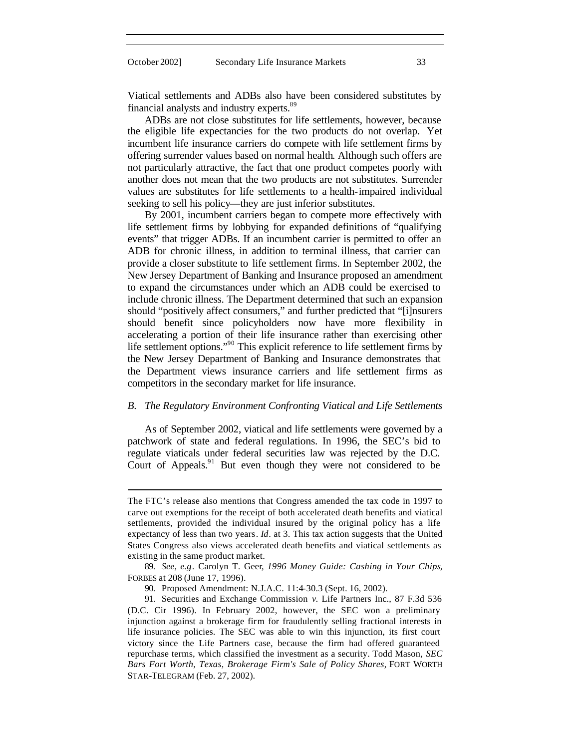Viatical settlements and ADBs also have been considered substitutes by financial analysts and industry experts.<sup>89</sup>

ADBs are not close substitutes for life settlements, however, because the eligible life expectancies for the two products do not overlap. Yet incumbent life insurance carriers do compete with life settlement firms by offering surrender values based on normal health. Although such offers are not particularly attractive, the fact that one product competes poorly with another does not mean that the two products are not substitutes. Surrender values are substitutes for life settlements to a health-impaired individual seeking to sell his policy—they are just inferior substitutes.

By 2001, incumbent carriers began to compete more effectively with life settlement firms by lobbying for expanded definitions of "qualifying events" that trigger ADBs. If an incumbent carrier is permitted to offer an ADB for chronic illness, in addition to terminal illness, that carrier can provide a closer substitute to life settlement firms. In September 2002, the New Jersey Department of Banking and Insurance proposed an amendment to expand the circumstances under which an ADB could be exercised to include chronic illness. The Department determined that such an expansion should "positively affect consumers," and further predicted that "[i]nsurers should benefit since policyholders now have more flexibility in accelerating a portion of their life insurance rather than exercising other life settlement options."<sup>90</sup> This explicit reference to life settlement firms by the New Jersey Department of Banking and Insurance demonstrates that the Department views insurance carriers and life settlement firms as competitors in the secondary market for life insurance.

#### *B. The Regulatory Environment Confronting Viatical and Life Settlements*

As of September 2002, viatical and life settlements were governed by a patchwork of state and federal regulations. In 1996, the SEC's bid to regulate viaticals under federal securities law was rejected by the D.C. Court of Appeals. $91$  But even though they were not considered to be

The FTC's release also mentions that Congress amended the tax code in 1997 to carve out exemptions for the receipt of both accelerated death benefits and viatical settlements, provided the individual insured by the original policy has a life expectancy of less than two years. *Id*. at 3. This tax action suggests that the United States Congress also views accelerated death benefits and viatical settlements as existing in the same product market.

<sup>89.</sup> *See, e.g*. Carolyn T. Geer, *1996 Money Guide: Cashing in Your Chips*, FORBES at 208 (June 17, 1996).

<sup>90.</sup> Proposed Amendment: N.J.A.C. 11:4-30.3 (Sept. 16, 2002).

<sup>91.</sup> Securities and Exchange Commission *v.* Life Partners Inc., 87 F.3d 536 (D.C. Cir 1996). In February 2002, however, the SEC won a preliminary injunction against a brokerage firm for fraudulently selling fractional interests in life insurance policies. The SEC was able to win this injunction, its first court victory since the Life Partners case, because the firm had offered guaranteed repurchase terms, which classified the investment as a security. Todd Mason, *SEC Bars Fort Worth, Texas, Brokerage Firm's Sale of Policy Shares*, FORT WORTH STAR-TELEGRAM (Feb. 27, 2002).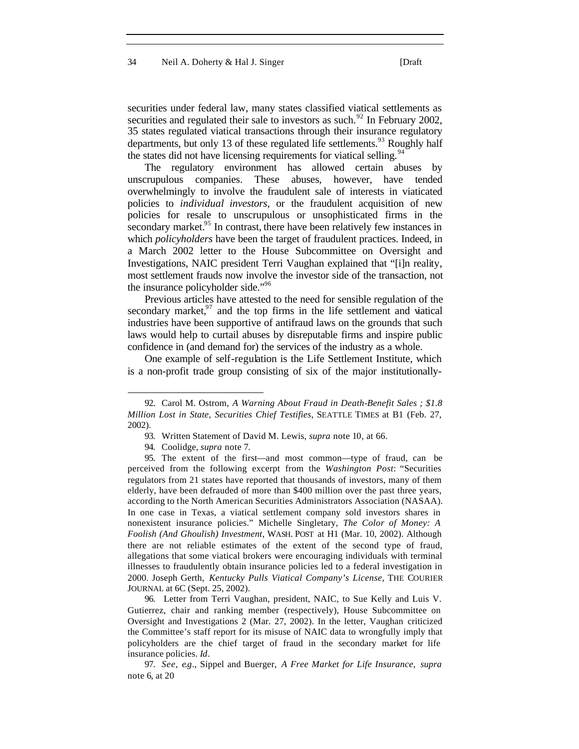#### 34 Neil A. Doherty & Hal J. Singer [Draft

securities under federal law, many states classified viatical settlements as securities and regulated their sale to investors as such.<sup>92</sup> In February 2002, 35 states regulated viatical transactions through their insurance regulatory departments, but only 13 of these regulated life settlements.<sup>93</sup> Roughly half the states did not have licensing requirements for viatical selling.<sup>94</sup>

The regulatory environment has allowed certain abuses by unscrupulous companies. These abuses, however, have tended overwhelmingly to involve the fraudulent sale of interests in viaticated policies to *individual investors*, or the fraudulent acquisition of new policies for resale to unscrupulous or unsophisticated firms in the secondary market. $95$  In contrast, there have been relatively few instances in which *policyholders* have been the target of fraudulent practices. Indeed, in a March 2002 letter to the House Subcommittee on Oversight and Investigations, NAIC president Terri Vaughan explained that "[i]n reality, most settlement frauds now involve the investor side of the transaction, not the insurance policyholder side."<sup>96</sup>

Previous articles have attested to the need for sensible regulation of the secondary market, $97$  and the top firms in the life settlement and viatical industries have been supportive of antifraud laws on the grounds that such laws would help to curtail abuses by disreputable firms and inspire public confidence in (and demand for) the services of the industry as a whole.

One example of self-regulation is the Life Settlement Institute, which is a non-profit trade group consisting of six of the major institutionally-

l

96. Letter from Terri Vaughan, president, NAIC, to Sue Kelly and Luis V. Gutierrez, chair and ranking member (respectively), House Subcommittee on Oversight and Investigations 2 (Mar. 27, 2002). In the letter, Vaughan criticized the Committee's staff report for its misuse of NAIC data to wrongfully imply that policyholders are the chief target of fraud in the secondary market for life insurance policies. *Id*.

<sup>92.</sup> Carol M. Ostrom, *A Warning About Fraud in Death-Benefit Sales ; \$1.8 Million Lost in State, Securities Chief Testifies*, SEATTLE TIMES at B1 (Feb. 27, 2002).

<sup>93.</sup> Written Statement of David M. Lewis, *supra* note 10, at 66.

<sup>94.</sup> Coolidge, *supra* note 7.

<sup>95.</sup> The extent of the first—and most common—type of fraud, can be perceived from the following excerpt from the *Washington Post*: "Securities regulators from 21 states have reported that thousands of investors, many of them elderly, have been defrauded of more than \$400 million over the past three years, according to the North American Securities Administrators Association (NASAA). In one case in Texas, a viatical settlement company sold investors shares in nonexistent insurance policies." Michelle Singletary, *The Color of Money: A Foolish (And Ghoulish) Investment*, WASH. POST at H1 (Mar. 10, 2002). Although there are not reliable estimates of the extent of the second type of fraud, allegations that some viatical brokers were encouraging individuals with terminal illnesses to fraudulently obtain insurance policies led to a federal investigation in 2000. Joseph Gerth, *Kentucky Pulls Viatical Company's License*, THE COURIER JOURNAL at 6C (Sept. 25, 2002).

<sup>97.</sup> *See, e*.*g*., Sippel and Buerger, *A Free Market for Life Insurance, supra* note 6, at 20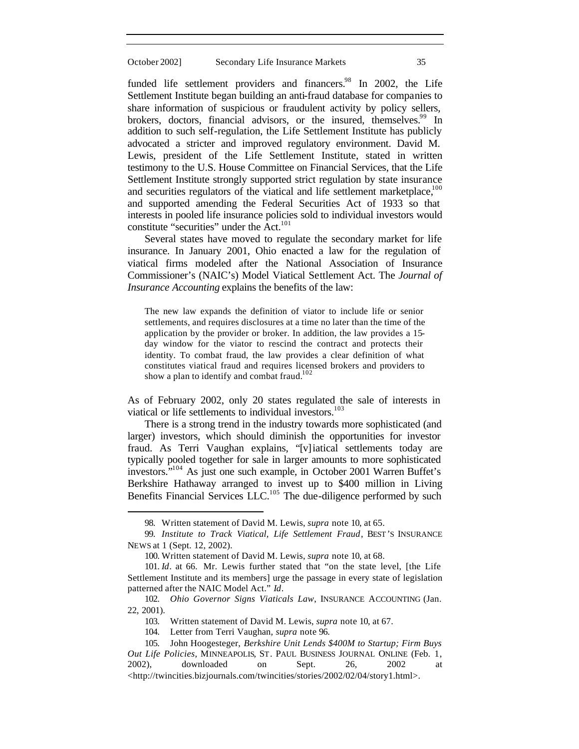funded life settlement providers and financers.<sup>98</sup> In 2002, the Life Settlement Institute began building an anti-fraud database for companies to share information of suspicious or fraudulent activity by policy sellers, brokers, doctors, financial advisors, or the insured, themselves.<sup>99</sup> In addition to such self-regulation, the Life Settlement Institute has publicly advocated a stricter and improved regulatory environment. David M. Lewis, president of the Life Settlement Institute, stated in written testimony to the U.S. House Committee on Financial Services, that the Life Settlement Institute strongly supported strict regulation by state insurance and securities regulators of the viatical and life settlement marketplace, $100$ and supported amending the Federal Securities Act of 1933 so that interests in pooled life insurance policies sold to individual investors would constitute "securities" under the Act.<sup>101</sup>

Several states have moved to regulate the secondary market for life insurance. In January 2001, Ohio enacted a law for the regulation of viatical firms modeled after the National Association of Insurance Commissioner's (NAIC's) Model Viatical Settlement Act. The *Journal of Insurance Accounting* explains the benefits of the law:

The new law expands the definition of viator to include life or senior settlements, and requires disclosures at a time no later than the time of the application by the provider or broker. In addition, the law provides a 15 day window for the viator to rescind the contract and protects their identity. To combat fraud, the law provides a clear definition of what constitutes viatical fraud and requires licensed brokers and providers to show a plan to identify and combat fraud.<sup>102</sup>

As of February 2002, only 20 states regulated the sale of interests in viatical or life settlements to individual investors.<sup>103</sup>

There is a strong trend in the industry towards more sophisticated (and larger) investors, which should diminish the opportunities for investor fraud. As Terri Vaughan explains, "[v]iatical settlements today are typically pooled together for sale in larger amounts to more sophisticated investors." <sup>104</sup> As just one such example, in October 2001 Warren Buffet's Berkshire Hathaway arranged to invest up to \$400 million in Living Benefits Financial Services LLC.<sup>105</sup> The due-diligence performed by such

<sup>98.</sup> Written statement of David M. Lewis, *supra* note 10, at 65.

<sup>99.</sup> *Institute to Track Viatical, Life Settlement Fraud*, BEST'S INSURANCE NEWS at 1 (Sept. 12, 2002).

<sup>100.</sup> Written statement of David M. Lewis, *supra* note 10, at 68.

<sup>101.</sup> *Id*. at 66. Mr. Lewis further stated that "on the state level, [the Life Settlement Institute and its members] urge the passage in every state of legislation patterned after the NAIC Model Act." *Id*.

<sup>102.</sup> *Ohio Governor Signs Viaticals Law*, INSURANCE ACCOUNTING (Jan. 22, 2001).

<sup>103.</sup> Written statement of David M. Lewis, *supra* note 10, at 67.

<sup>104.</sup> Letter from Terri Vaughan, *supra* note 96.

<sup>105.</sup> John Hoogesteger, *Berkshire Unit Lends \$400M to Startup; Firm Buys Out Life Policies*, MINNEAPOLIS, ST. PAUL BUSINESS JOURNAL ONLINE (Feb. 1, 2002), downloaded on Sept. 26, 2002 at <http://twincities.bizjournals.com/twincities/stories/2002/02/04/story1.html>.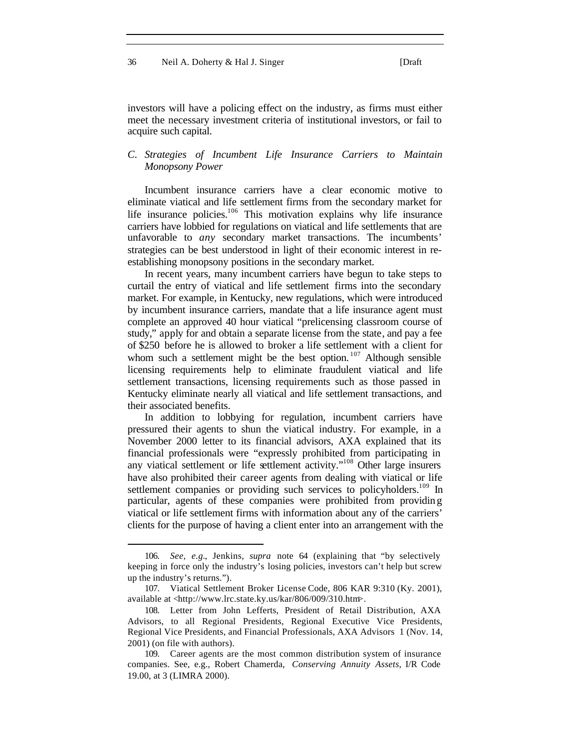#### 36 Neil A. Doherty & Hal J. Singer [Draft

investors will have a policing effect on the industry, as firms must either meet the necessary investment criteria of institutional investors, or fail to acquire such capital.

#### *C. Strategies of Incumbent Life Insurance Carriers to Maintain Monopsony Power*

Incumbent insurance carriers have a clear economic motive to eliminate viatical and life settlement firms from the secondary market for life insurance policies.<sup>106</sup> This motivation explains why life insurance carriers have lobbied for regulations on viatical and life settlements that are unfavorable to *any* secondary market transactions. The incumbents' strategies can be best understood in light of their economic interest in reestablishing monopsony positions in the secondary market.

In recent years, many incumbent carriers have begun to take steps to curtail the entry of viatical and life settlement firms into the secondary market. For example, in Kentucky, new regulations, which were introduced by incumbent insurance carriers, mandate that a life insurance agent must complete an approved 40 hour viatical "prelicensing classroom course of study," apply for and obtain a separate license from the state, and pay a fee of \$250 before he is allowed to broker a life settlement with a client for whom such a settlement might be the best option.  $107$  Although sensible licensing requirements help to eliminate fraudulent viatical and life settlement transactions, licensing requirements such as those passed in Kentucky eliminate nearly all viatical and life settlement transactions, and their associated benefits.

In addition to lobbying for regulation, incumbent carriers have pressured their agents to shun the viatical industry. For example, in a November 2000 letter to its financial advisors, AXA explained that its financial professionals were "expressly prohibited from participating in any viatical settlement or life settlement activity."<sup>108</sup> Other large insurers have also prohibited their career agents from dealing with viatical or life settlement companies or providing such services to policyholders.<sup>109</sup> In particular, agents of these companies were prohibited from providing viatical or life settlement firms with information about any of the carriers' clients for the purpose of having a client enter into an arrangement with the

<sup>106.</sup> *See, e.g.*, Jenkins, *supra* note 64 (explaining that "by selectively keeping in force only the industry's losing policies, investors can't help but screw up the industry's returns.").

<sup>107.</sup> Viatical Settlement Broker License Code, 806 KAR 9:310 (Ky. 2001), available at <http://www.lrc.state.ky.us/kar/806/009/310.htm>.

<sup>108.</sup> Letter from John Lefferts, President of Retail Distribution, AXA Advisors, to all Regional Presidents, Regional Executive Vice Presidents, Regional Vice Presidents, and Financial Professionals, AXA Advisors 1 (Nov. 14, 2001) (on file with authors).

<sup>109.</sup> Career agents are the most common distribution system of insurance companies. See, e.g., Robert Chamerda, *Conserving Annuity Assets*, I/R Code 19.00, at 3 (LIMRA 2000).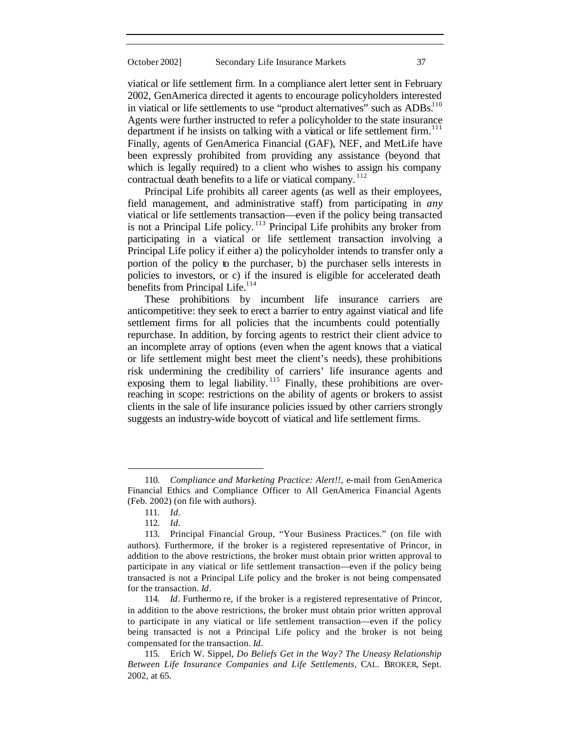viatical or life settlement firm. In a compliance alert letter sent in February 2002, GenAmerica directed it agents to encourage policyholders interested in viatical or life settlements to use "product alternatives" such as ADBs.<sup>110</sup> Agents were further instructed to refer a policyholder to the state insurance department if he insists on talking with a viatical or life settlement firm.<sup>111</sup> Finally, agents of GenAmerica Financial (GAF), NEF, and MetLife have been expressly prohibited from providing any assistance (beyond that which is legally required) to a client who wishes to assign his company contractual death benefits to a life or viatical company.<sup>112</sup>

Principal Life prohibits all career agents (as well as their employees, field management, and administrative staff) from participating in *any* viatical or life settlements transaction—even if the policy being transacted is not a Principal Life policy.<sup>113</sup> Principal Life prohibits any broker from participating in a viatical or life settlement transaction involving a Principal Life policy if either a) the policyholder intends to transfer only a portion of the policy to the purchaser, b) the purchaser sells interests in policies to investors, or c) if the insured is eligible for accelerated death benefits from Principal Life.<sup>114</sup>

These prohibitions by incumbent life insurance carriers are anticompetitive: they seek to erect a barrier to entry against viatical and life settlement firms for all policies that the incumbents could potentially repurchase. In addition, by forcing agents to restrict their client advice to an incomplete array of options (even when the agent knows that a viatical or life settlement might best meet the client's needs), these prohibitions risk undermining the credibility of carriers' life insurance agents and exposing them to legal liability.  $115$  Finally, these prohibitions are overreaching in scope: restrictions on the ability of agents or brokers to assist clients in the sale of life insurance policies issued by other carriers strongly suggests an industry-wide boycott of viatical and life settlement firms.

<sup>110.</sup> *Compliance and Marketing Practice: Alert!!*, e-mail from GenAmerica Financial Ethics and Compliance Officer to All GenAmerica Financial Agents (Feb. 2002) (on file with authors).

<sup>111.</sup> *Id.*

<sup>112.</sup> *Id.*

<sup>113.</sup> Principal Financial Group, "Your Business Practices." (on file with authors). Furthermore, if the broker is a registered representative of Princor, in addition to the above restrictions, the broker must obtain prior written approval to participate in any viatical or life settlement transaction—even if the policy being transacted is not a Principal Life policy and the broker is not being compensated for the transaction. *Id*.

<sup>114.</sup> *Id*. Furthermo re, if the broker is a registered representative of Princor, in addition to the above restrictions, the broker must obtain prior written approval to participate in any viatical or life settlement transaction—even if the policy being transacted is not a Principal Life policy and the broker is not being compensated for the transaction. *Id*.

<sup>115.</sup> Erich W. Sippel, *Do Beliefs Get in the Way? The Uneasy Relationship Between Life Insurance Companies and Life Settlements*, CAL. BROKER, Sept. 2002, at 65.